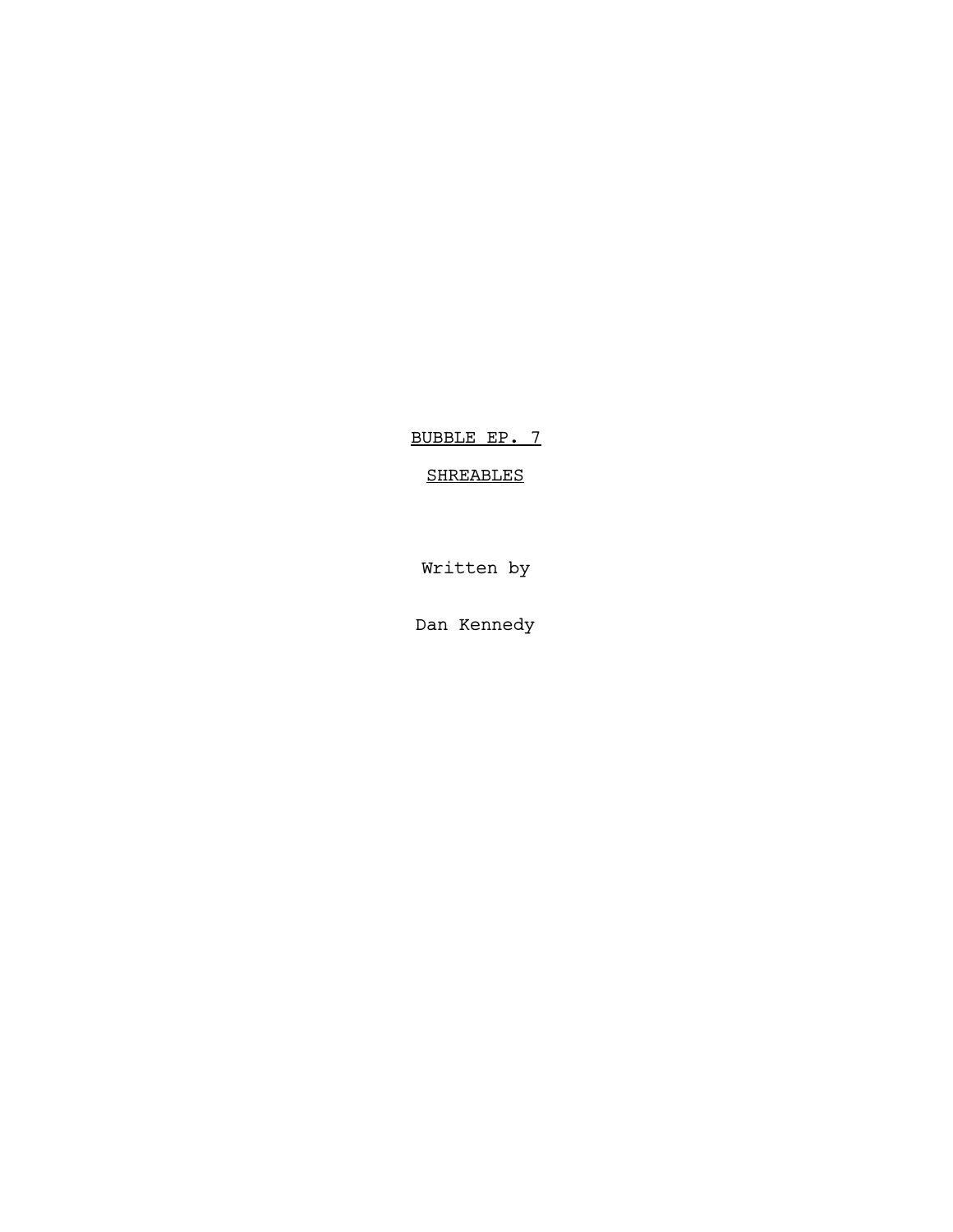BUBBLE EP. 7

# SHREABLES

Written by

Dan Kennedy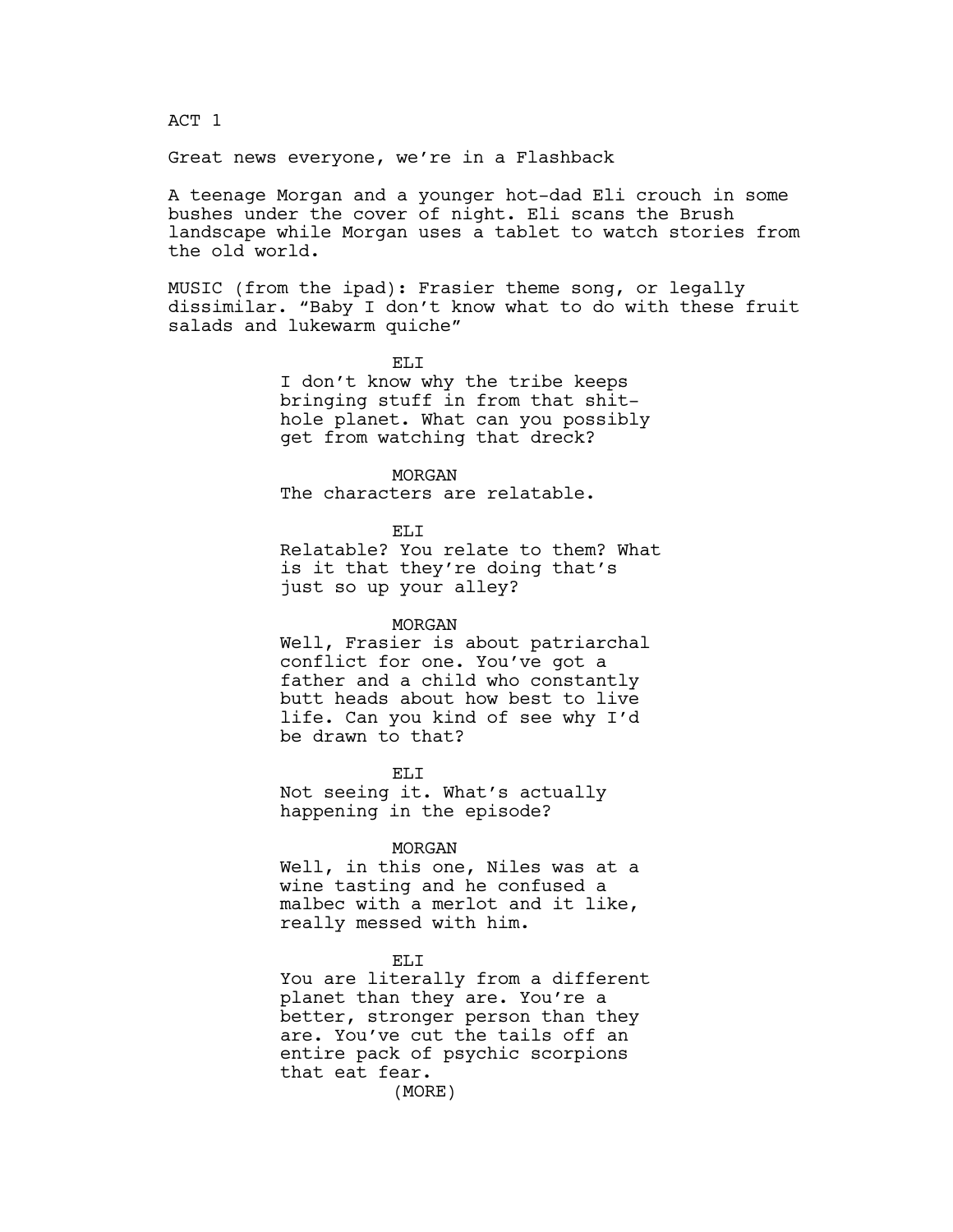# ACT 1

### Great news everyone, we're in a Flashback

A teenage Morgan and a younger hot-dad Eli crouch in some bushes under the cover of night. Eli scans the Brush landscape while Morgan uses a tablet to watch stories from the old world.

MUSIC (from the ipad): Frasier theme song, or legally dissimilar. "Baby I don't know what to do with these fruit salads and lukewarm quiche"

> EL<sub>I</sub> I don't know why the tribe keeps bringing stuff in from that shithole planet. What can you possibly get from watching that dreck?

MORGAN The characters are relatable.

ELI

Relatable? You relate to them? What is it that they're doing that's just so up your alley?

### MORGAN

Well, Frasier is about patriarchal conflict for one. You've got a father and a child who constantly butt heads about how best to live life. Can you kind of see why I'd be drawn to that?

EL<sub>I</sub> Not seeing it. What's actually happening in the episode?

#### MORGAN

Well, in this one, Niles was at a wine tasting and he confused a malbec with a merlot and it like, really messed with him.

ELI

You are literally from a different planet than they are. You're a better, stronger person than they are. You've cut the tails off an entire pack of psychic scorpions that eat fear.

(MORE)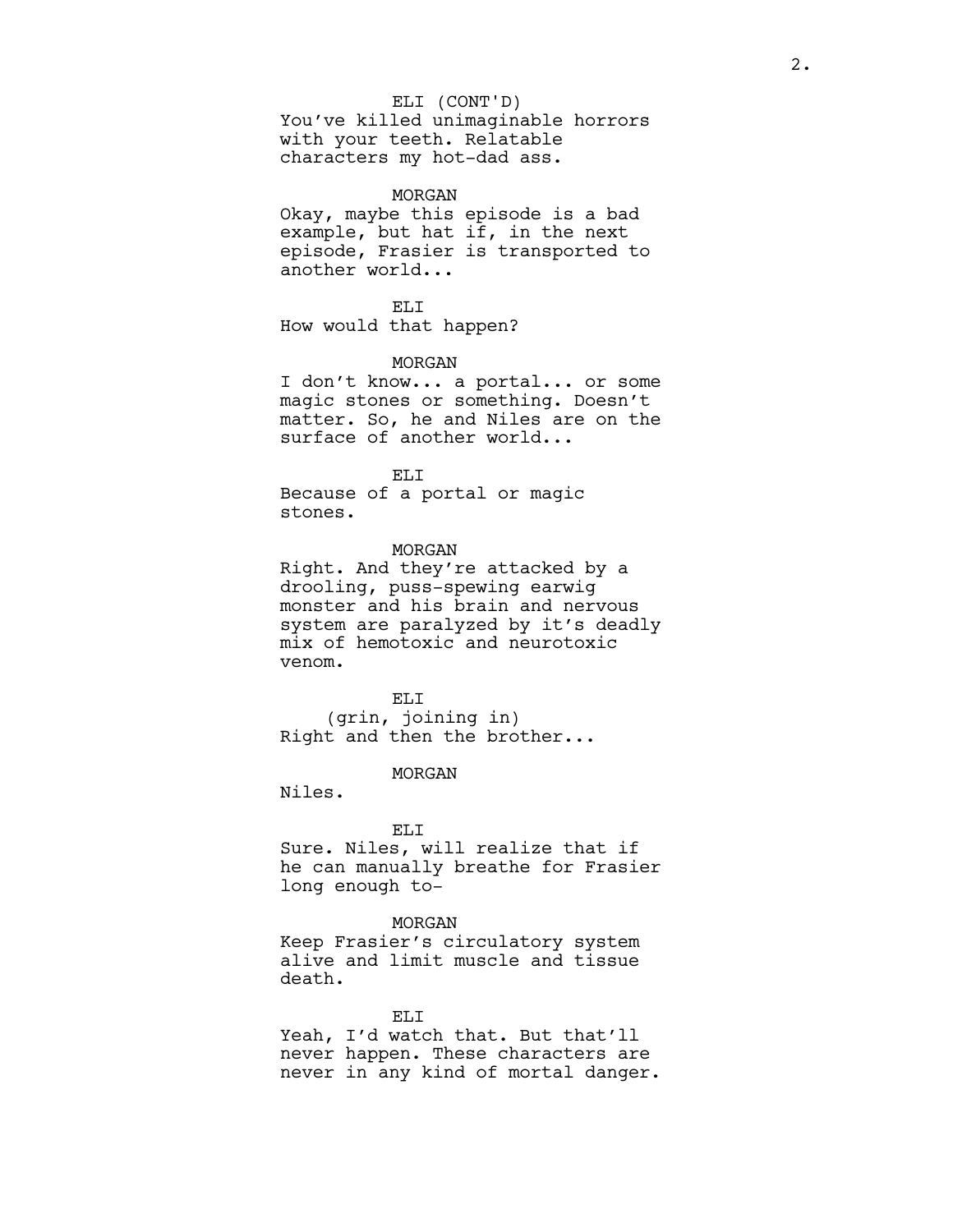### ELI (CONT'D)

You've killed unimaginable horrors with your teeth. Relatable characters my hot-dad ass.

#### MORGAN

Okay, maybe this episode is a bad example, but hat if, in the next episode, Frasier is transported to another world...

ELI How would that happen?

#### MORGAN

I don't know... a portal... or some magic stones or something. Doesn't matter. So, he and Niles are on the surface of another world...

#### ELI

Because of a portal or magic stones.

#### MORGAN

Right. And they're attacked by a drooling, puss-spewing earwig monster and his brain and nervous system are paralyzed by it's deadly mix of hemotoxic and neurotoxic venom.

ELI (grin, joining in) Right and then the brother...

### MORGAN

Niles.

### ELI

Sure. Niles, will realize that if he can manually breathe for Frasier long enough to-

#### MORGAN

Keep Frasier's circulatory system alive and limit muscle and tissue death.

ELI Yeah, I'd watch that. But that'll never happen. These characters are never in any kind of mortal danger.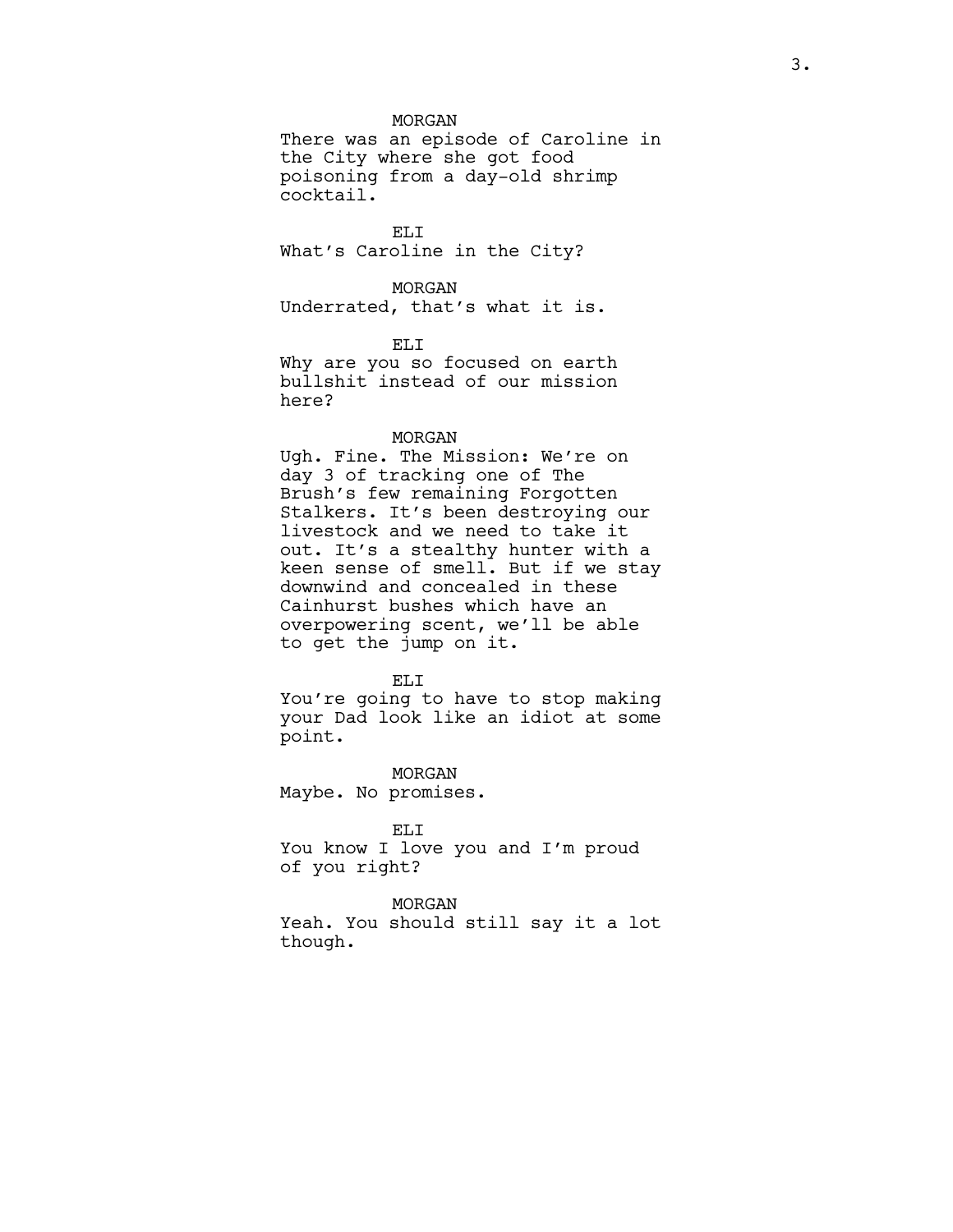### MORGAN

There was an episode of Caroline in the City where she got food poisoning from a day-old shrimp cocktail.

ELI What's Caroline in the City?

MORGAN Underrated, that's what it is.

ELI

Why are you so focused on earth bullshit instead of our mission here?

#### MORGAN

Ugh. Fine. The Mission: We're on day 3 of tracking one of The Brush's few remaining Forgotten Stalkers. It's been destroying our livestock and we need to take it out. It's a stealthy hunter with a keen sense of smell. But if we stay downwind and concealed in these Cainhurst bushes which have an overpowering scent, we'll be able to get the jump on it.

#### ELI

You're going to have to stop making your Dad look like an idiot at some point.

MORGAN Maybe. No promises.

# ELI

You know I love you and I'm proud of you right?

MORGAN Yeah. You should still say it a lot though.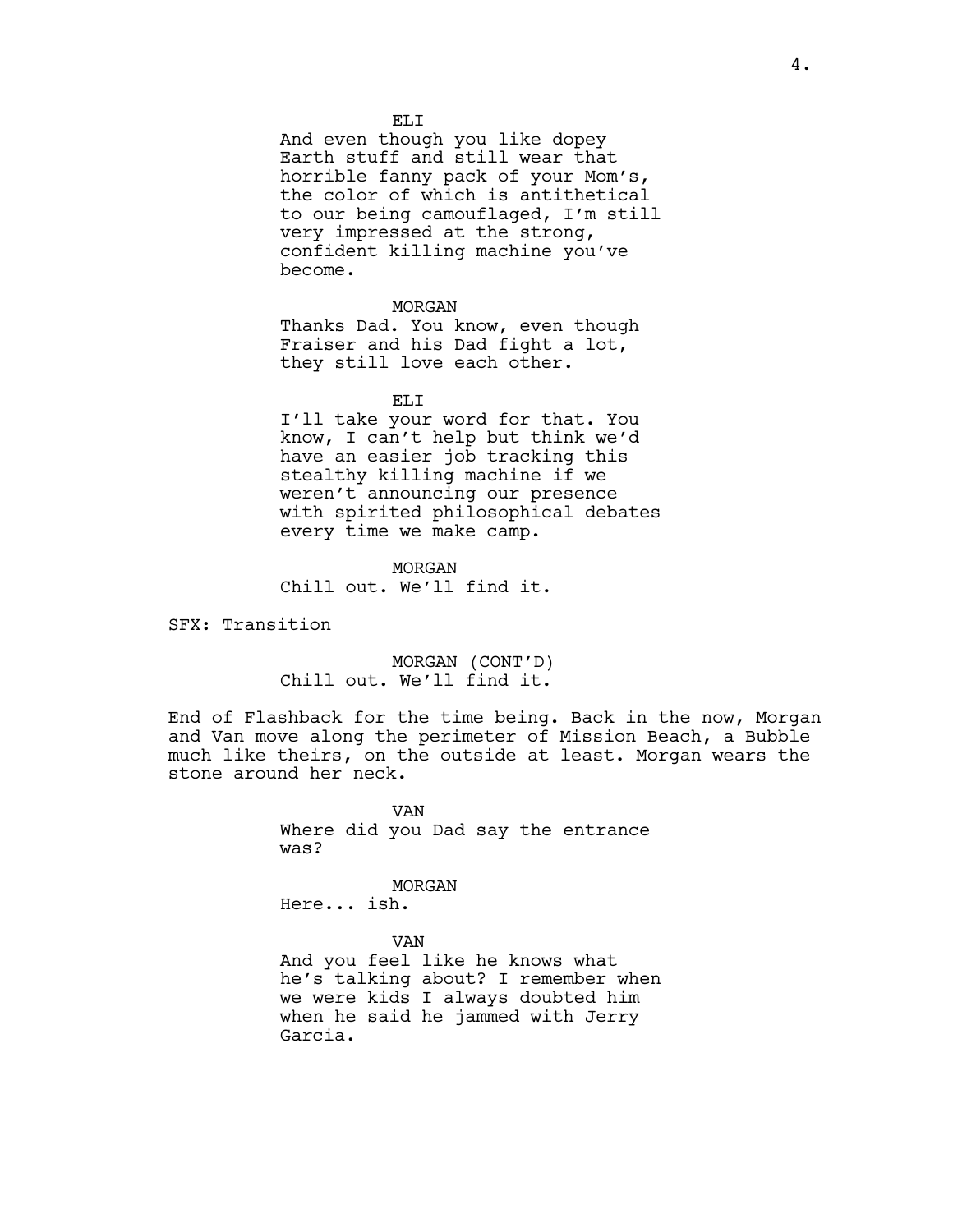EL<sub>I</sub>T

And even though you like dopey Earth stuff and still wear that horrible fanny pack of your Mom's, the color of which is antithetical to our being camouflaged, I'm still very impressed at the strong, confident killing machine you've become.

#### MORGAN

Thanks Dad. You know, even though Fraiser and his Dad fight a lot, they still love each other.

ELI

I'll take your word for that. You know, I can't help but think we'd have an easier job tracking this stealthy killing machine if we weren't announcing our presence with spirited philosophical debates every time we make camp.

MORGAN Chill out. We'll find it.

SFX: Transition

MORGAN (CONT'D) Chill out. We'll find it.

End of Flashback for the time being. Back in the now, Morgan and Van move along the perimeter of Mission Beach, a Bubble much like theirs, on the outside at least. Morgan wears the stone around her neck.

> VAN Where did you Dad say the entrance was?

MORGAN Here... ish.

VAN

And you feel like he knows what he's talking about? I remember when we were kids I always doubted him when he said he jammed with Jerry Garcia.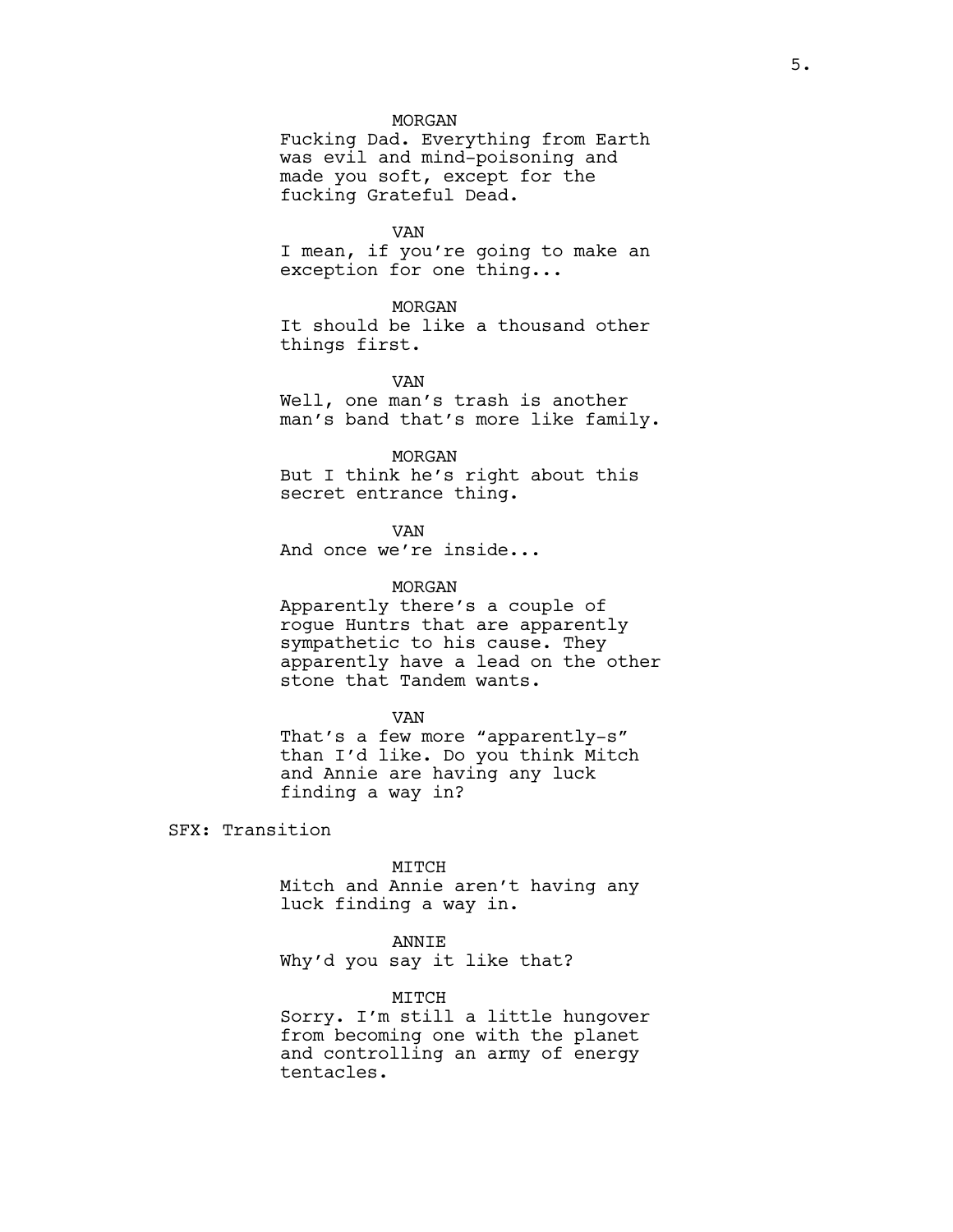### MORGAN

Fucking Dad. Everything from Earth was evil and mind-poisoning and made you soft, except for the fucking Grateful Dead.

VAN

I mean, if you're going to make an exception for one thing...

### MORGAN

It should be like a thousand other things first.

VAN

Well, one man's trash is another man's band that's more like family.

### MORGAN

But I think he's right about this secret entrance thing.

VAN

And once we're inside...

### MORGAN

Apparently there's a couple of rogue Huntrs that are apparently sympathetic to his cause. They apparently have a lead on the other stone that Tandem wants.

#### VAN

That's a few more "apparently-s" than I'd like. Do you think Mitch and Annie are having any luck finding a way in?

SFX: Transition

MITCH

Mitch and Annie aren't having any luck finding a way in.

### ANNIE

Why'd you say it like that?

#### MITCH

Sorry. I'm still a little hungover from becoming one with the planet and controlling an army of energy tentacles.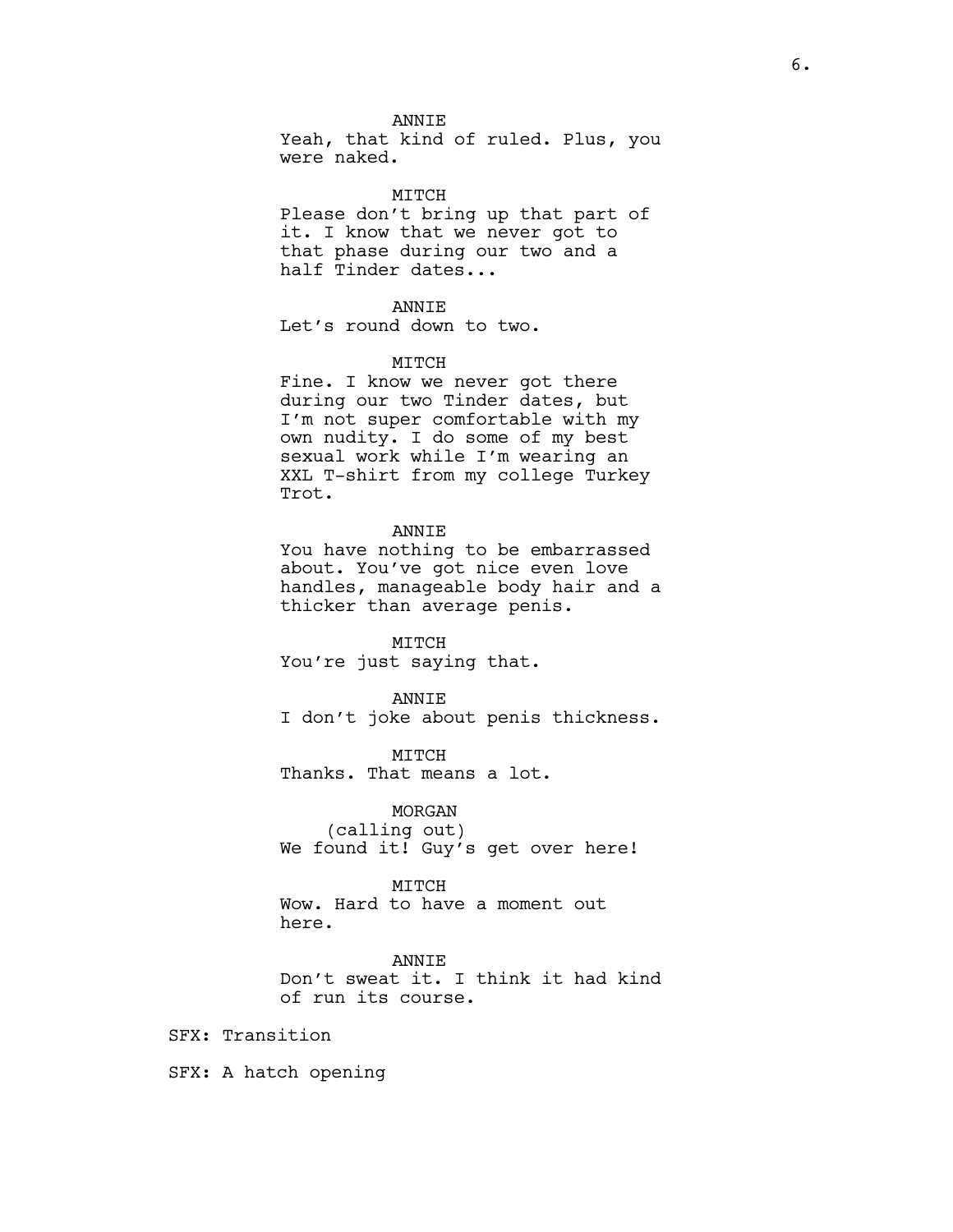### ANNIE

Yeah, that kind of ruled. Plus, you were naked.

### MITCH

Please don't bring up that part of it. I know that we never got to that phase during our two and a half Tinder dates...

### ANNIE

Let's round down to two.

### MITCH

Fine. I know we never got there during our two Tinder dates, but I'm not super comfortable with my own nudity. I do some of my best sexual work while I'm wearing an XXL T-shirt from my college Turkey Trot.

### **ANNTE**

You have nothing to be embarrassed about. You've got nice even love handles, manageable body hair and a thicker than average penis.

MITCH You're just saying that.

ANNIE I don't joke about penis thickness.

MITCH Thanks. That means a lot.

MORGAN (calling out) We found it! Guy's get over here!

### MITCH

Wow. Hard to have a moment out here.

ANNIE Don't sweat it. I think it had kind of run its course.

SFX: Transition

SFX: A hatch opening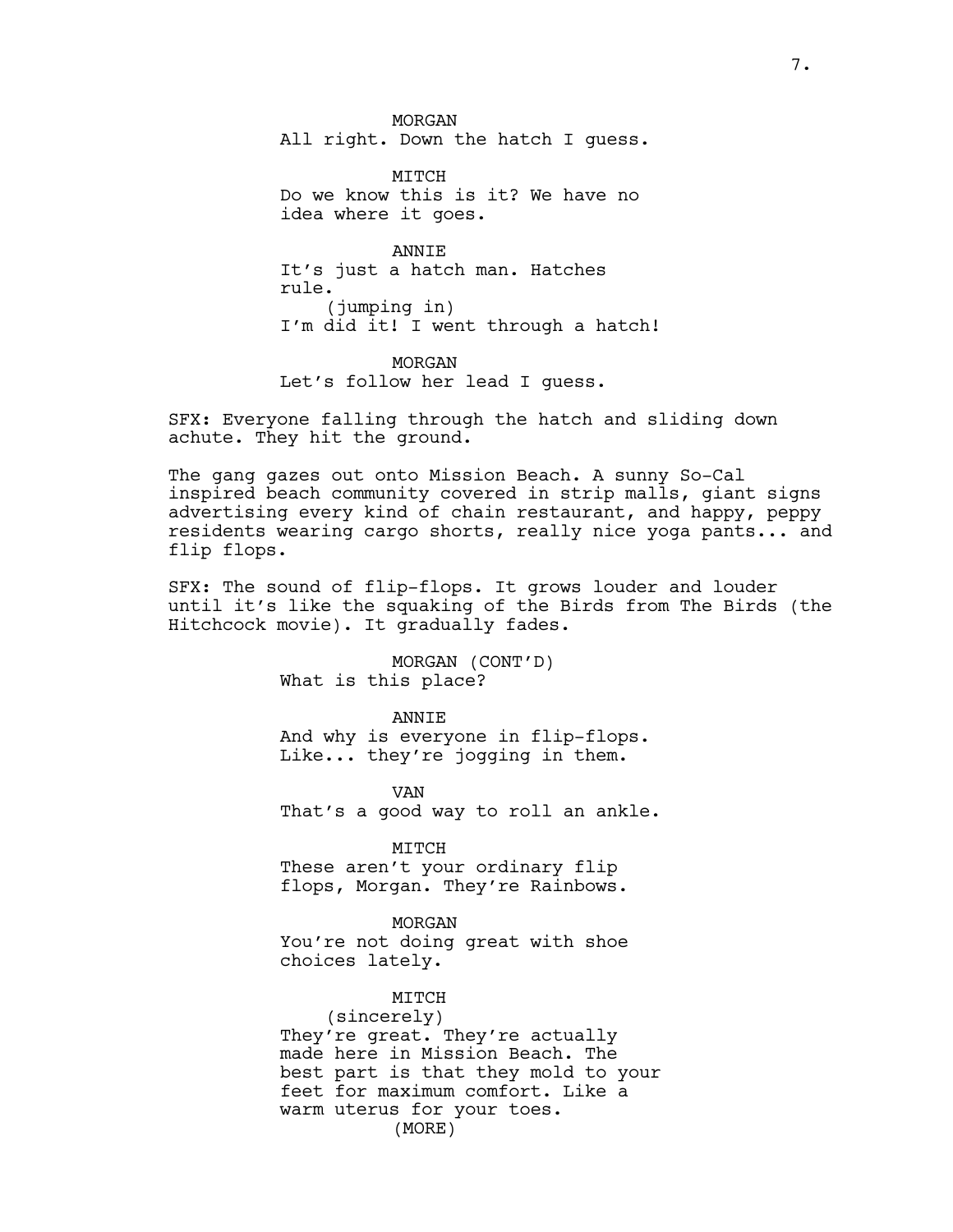MORGAN All right. Down the hatch I guess.

MTTCH Do we know this is it? We have no idea where it goes.

ANNIE It's just a hatch man. Hatches rule. (jumping in) I'm did it! I went through a hatch!

MORGAN Let's follow her lead I guess.

SFX: Everyone falling through the hatch and sliding down achute. They hit the ground.

The gang gazes out onto Mission Beach. A sunny So-Cal inspired beach community covered in strip malls, giant signs advertising every kind of chain restaurant, and happy, peppy residents wearing cargo shorts, really nice yoga pants... and flip flops.

SFX: The sound of flip-flops. It grows louder and louder until it's like the squaking of the Birds from The Birds (the Hitchcock movie). It gradually fades.

> MORGAN (CONT'D) What is this place?

ANNIE And why is everyone in flip-flops. Like... they're jogging in them.

VAN That's a good way to roll an ankle.

MITCH

These aren't your ordinary flip flops, Morgan. They're Rainbows.

MORGAN You're not doing great with shoe choices lately.

MITCH (sincerely) They're great. They're actually made here in Mission Beach. The best part is that they mold to your feet for maximum comfort. Like a warm uterus for your toes. (MORE)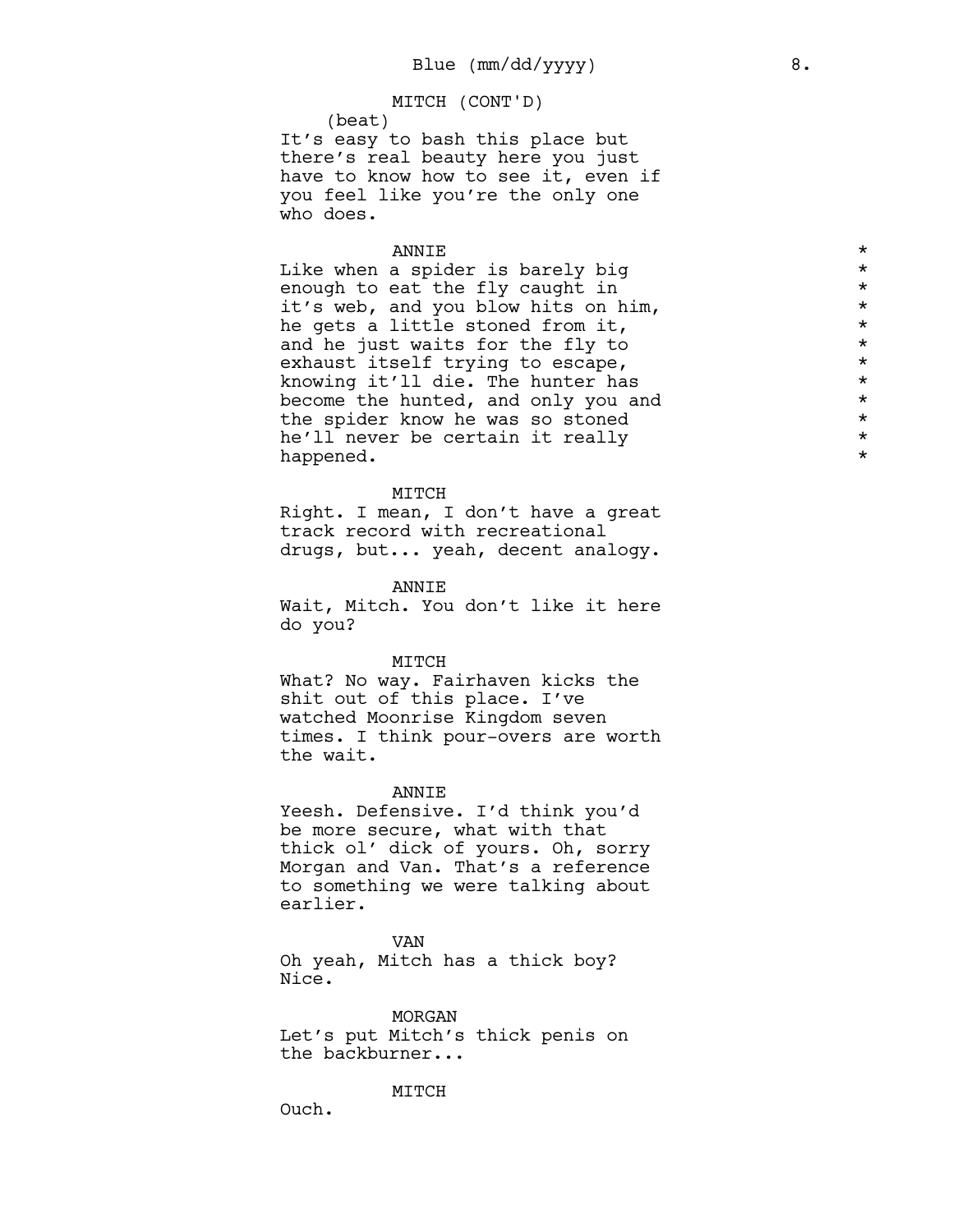### MITCH (CONT'D)

(beat) It's easy to bash this place but there's real beauty here you just have to know how to see it, even if you feel like you're the only one who does.

### ANNIE

Like when a spider is barely big enough to eat the fly caught in it's web, and you blow hits on him, he gets a little stoned from it, and he just waits for the fly to exhaust itself trying to escape, knowing it'll die. The hunter has become the hunted, and only you and the spider know he was so stoned he'll never be certain it really happened.

#### MITCH

Right. I mean, I don't have a great track record with recreational drugs, but... yeah, decent analogy.

ANNIE

Wait, Mitch. You don't like it here do you?

#### MITCH

What? No way. Fairhaven kicks the shit out of this place. I've watched Moonrise Kingdom seven times. I think pour-overs are worth the wait.

#### ANNIE

Yeesh. Defensive. I'd think you'd be more secure, what with that thick ol' dick of yours. Oh, sorry Morgan and Van. That's a reference to something we were talking about earlier.

VAN

Oh yeah, Mitch has a thick boy? Nice.

MORGAN Let's put Mitch's thick penis on the backburner...

#### MITCH

Ouch.

\*

\*

\*

\*

\*

\*

\*

\*

\*

\*

\*

\*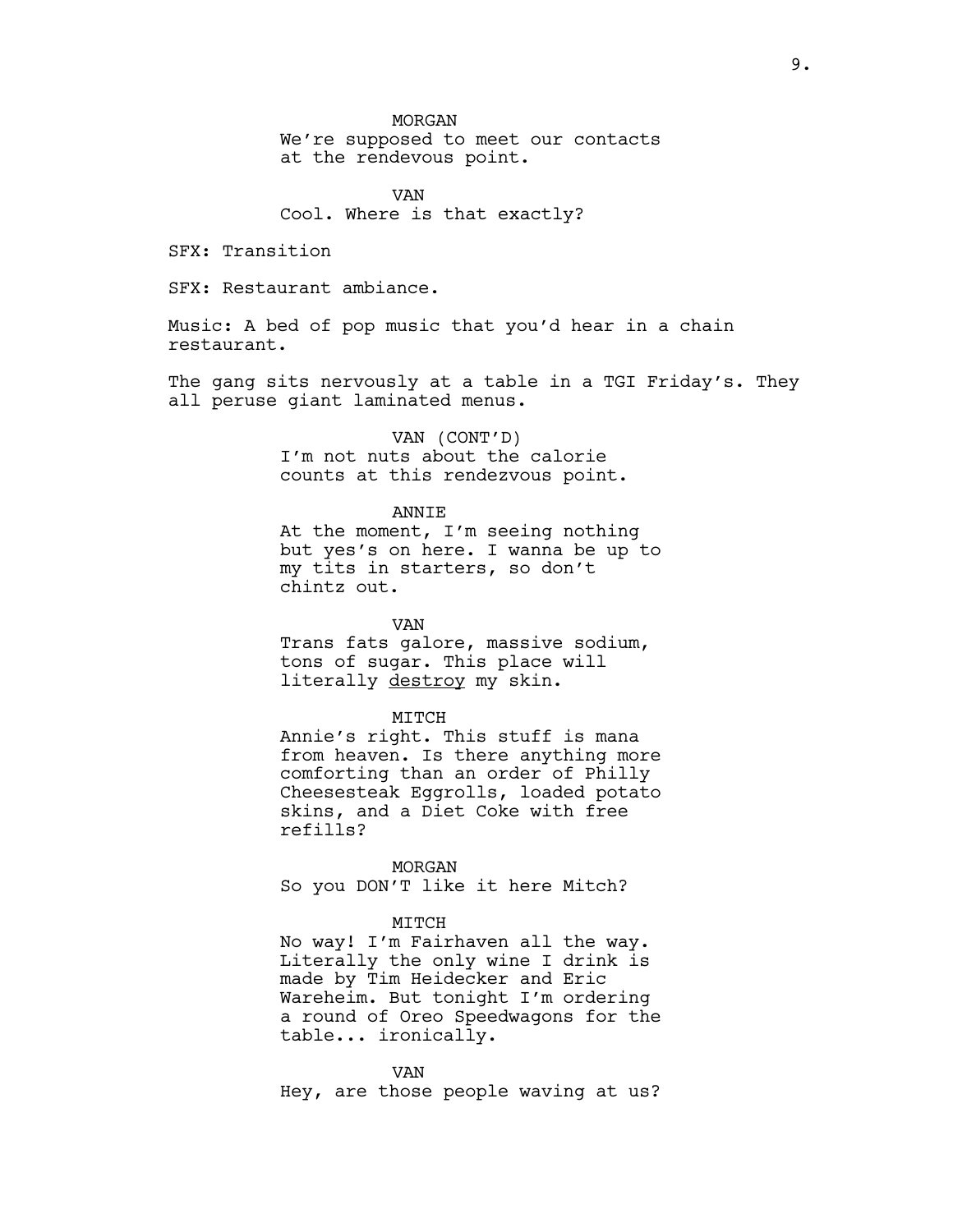### MORGAN

We're supposed to meet our contacts at the rendevous point.

VAN Cool. Where is that exactly?

SFX: Transition

SFX: Restaurant ambiance.

Music: A bed of pop music that you'd hear in a chain restaurant.

The gang sits nervously at a table in a TGI Friday's. They all peruse giant laminated menus.

> VAN (CONT'D) I'm not nuts about the calorie counts at this rendezvous point.

#### ANNIE

At the moment, I'm seeing nothing but yes's on here. I wanna be up to my tits in starters, so don't chintz out.

VAN Trans fats galore, massive sodium, tons of sugar. This place will literally destroy my skin.

#### MITCH

Annie's right. This stuff is mana from heaven. Is there anything more comforting than an order of Philly Cheesesteak Eggrolls, loaded potato skins, and a Diet Coke with free refills?

MORGAN So you DON'T like it here Mitch?

#### MITCH

No way! I'm Fairhaven all the way. Literally the only wine I drink is made by Tim Heidecker and Eric Wareheim. But tonight I'm ordering a round of Oreo Speedwagons for the table... ironically.

VAN Hey, are those people waving at us?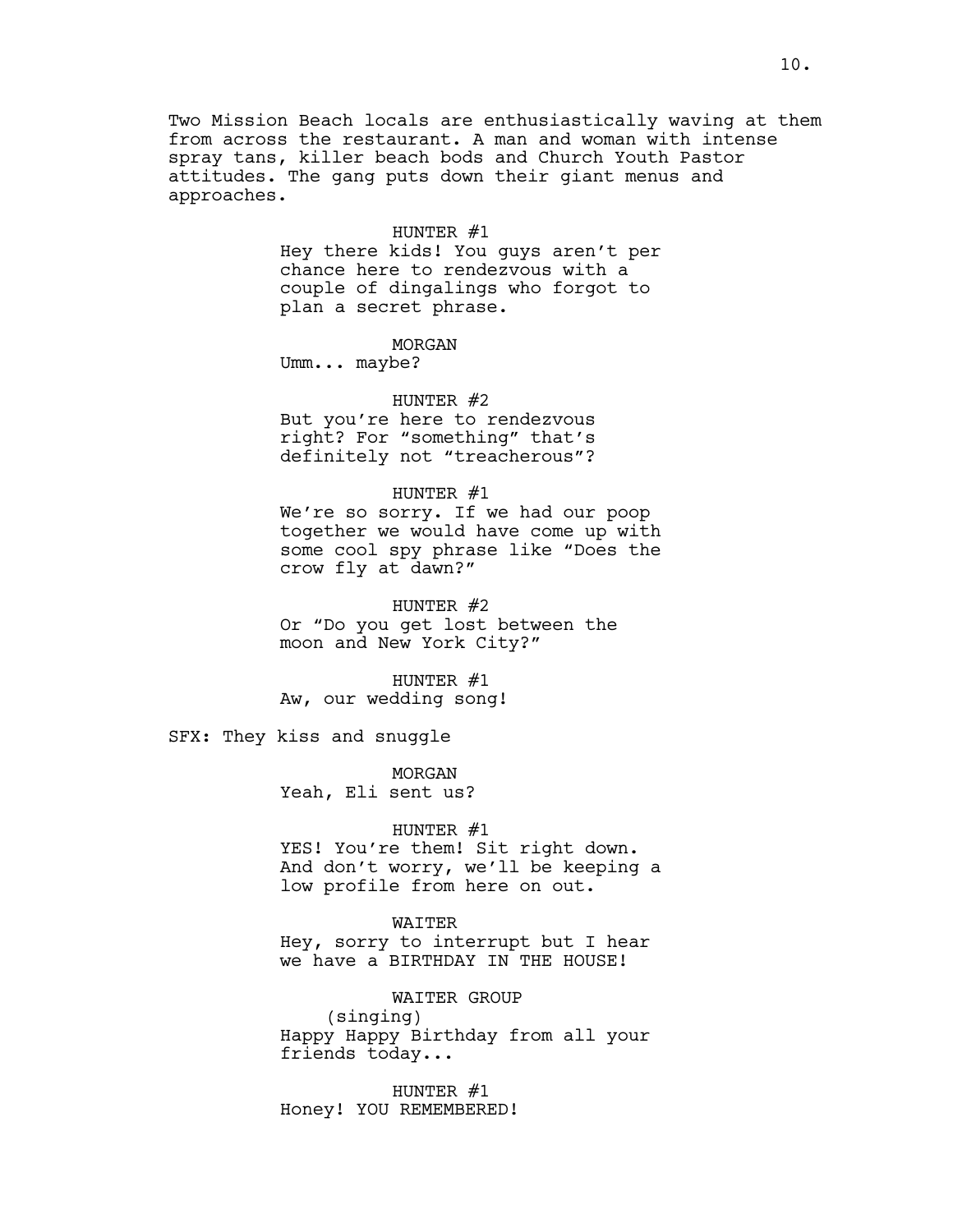Two Mission Beach locals are enthusiastically waving at them from across the restaurant. A man and woman with intense spray tans, killer beach bods and Church Youth Pastor attitudes. The gang puts down their giant menus and approaches.

### HUNTER #1

Hey there kids! You guys aren't per chance here to rendezvous with a couple of dingalings who forgot to plan a secret phrase.

### MORGAN

Umm... maybe?

HUNTER #2 But you're here to rendezvous right? For "something" that's definitely not "treacherous"?

# HUNTER #1

We're so sorry. If we had our poop together we would have come up with some cool spy phrase like "Does the crow fly at dawn?"

HUNTER #2 Or "Do you get lost between the moon and New York City?"

HUNTER #1 Aw, our wedding song!

SFX: They kiss and snuggle

MORGAN Yeah, Eli sent us?

### HUNTER #1

YES! You're them! Sit right down. And don't worry, we'll be keeping a low profile from here on out.

### WAITER

Hey, sorry to interrupt but I hear we have a BIRTHDAY IN THE HOUSE!

#### WAITER GROUP

(singing) Happy Happy Birthday from all your friends today...

HUNTER #1 Honey! YOU REMEMBERED!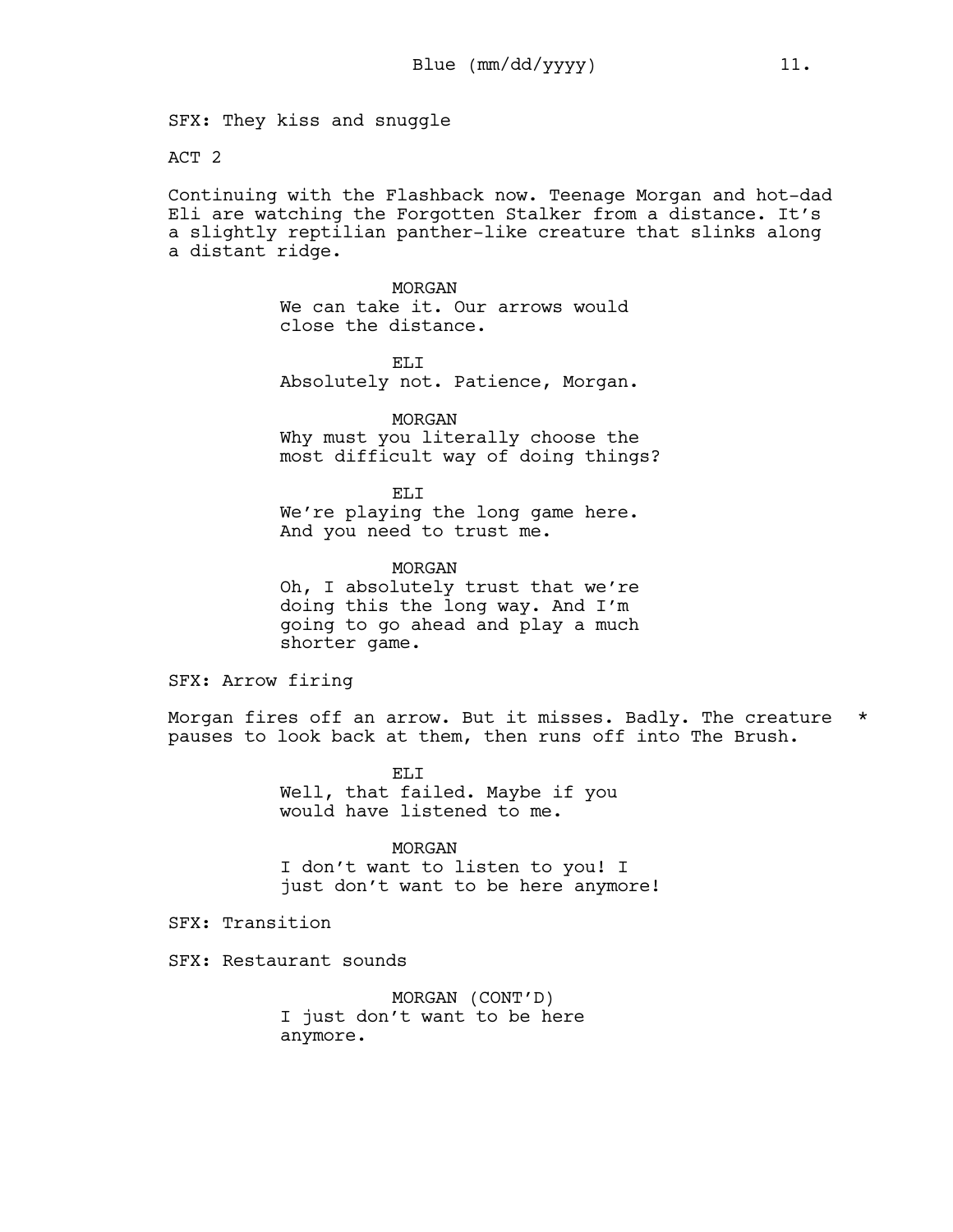SFX: They kiss and snuggle

ACT 2

Continuing with the Flashback now. Teenage Morgan and hot-dad Eli are watching the Forgotten Stalker from a distance. It's a slightly reptilian panther-like creature that slinks along a distant ridge.

> MORGAN We can take it. Our arrows would close the distance.

EL<sub>I</sub>T Absolutely not. Patience, Morgan.

MORGAN Why must you literally choose the most difficult way of doing things?

EL<sub>I</sub> We're playing the long game here. And you need to trust me.

MORGAN Oh, I absolutely trust that we're doing this the long way. And I'm going to go ahead and play a much shorter game.

SFX: Arrow firing

Morgan fires off an arrow. But it misses. Badly. The creature \* pauses to look back at them, then runs off into The Brush.

> ELI Well, that failed. Maybe if you would have listened to me.

> > MORGAN

I don't want to listen to you! I just don't want to be here anymore!

SFX: Transition

SFX: Restaurant sounds

MORGAN (CONT'D) I just don't want to be here anymore.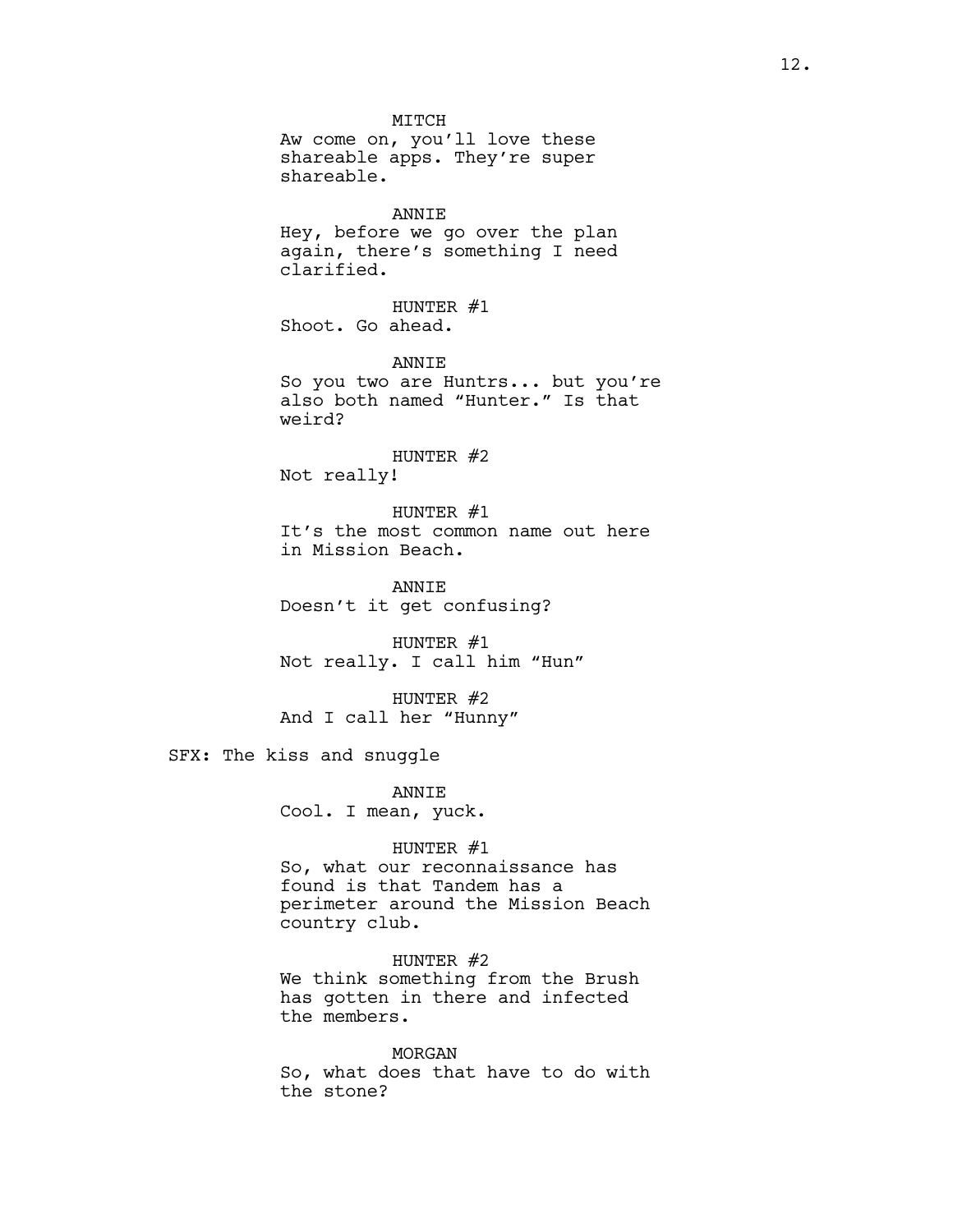MITCH Aw come on, you'll love these shareable apps. They're super shareable.

### ANNIE

Hey, before we go over the plan again, there's something I need clarified.

HUNTER #1 Shoot. Go ahead.

ANNIE So you two are Huntrs... but you're also both named "Hunter." Is that weird?

### HUNTER #2

Not really!

HUNTER #1 It's the most common name out here in Mission Beach.

ANNIE Doesn't it get confusing?

HUNTER #1 Not really. I call him "Hun"

HUNTER #2 And I call her "Hunny"

SFX: The kiss and snuggle

ANNIE Cool. I mean, yuck.

### HUNTER #1

So, what our reconnaissance has found is that Tandem has a perimeter around the Mission Beach country club.

HUNTER #2 We think something from the Brush has gotten in there and infected the members.

MORGAN So, what does that have to do with the stone?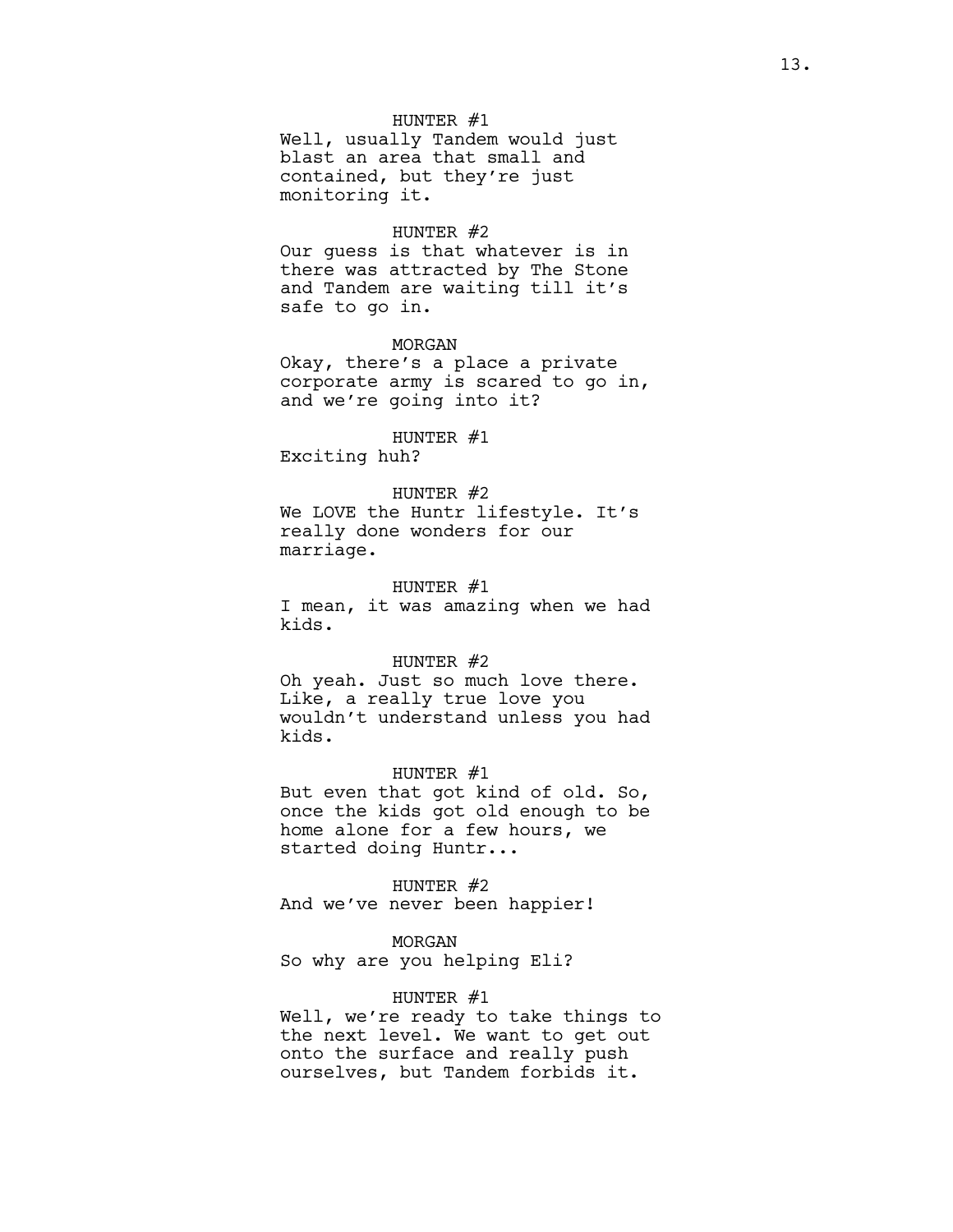### HUNTER #1

Well, usually Tandem would just blast an area that small and contained, but they're just monitoring it.

### HUNTER #2

Our guess is that whatever is in there was attracted by The Stone and Tandem are waiting till it's safe to go in.

### MORGAN

Okay, there's a place a private corporate army is scared to go in, and we're going into it?

HUNTER #1 Exciting huh?

HUNTER #2

We LOVE the Huntr lifestyle. It's really done wonders for our marriage.

HUNTER #1 I mean, it was amazing when we had kids.

#### HUNTER  $#2$

Oh yeah. Just so much love there. Like, a really true love you wouldn't understand unless you had kids.

#### HUNTER #1

But even that got kind of old. So, once the kids got old enough to be home alone for a few hours, we started doing Huntr...

HUNTER #2

And we've never been happier!

### MORGAN

So why are you helping Eli?

### HUNTER #1

Well, we're ready to take things to the next level. We want to get out onto the surface and really push ourselves, but Tandem forbids it.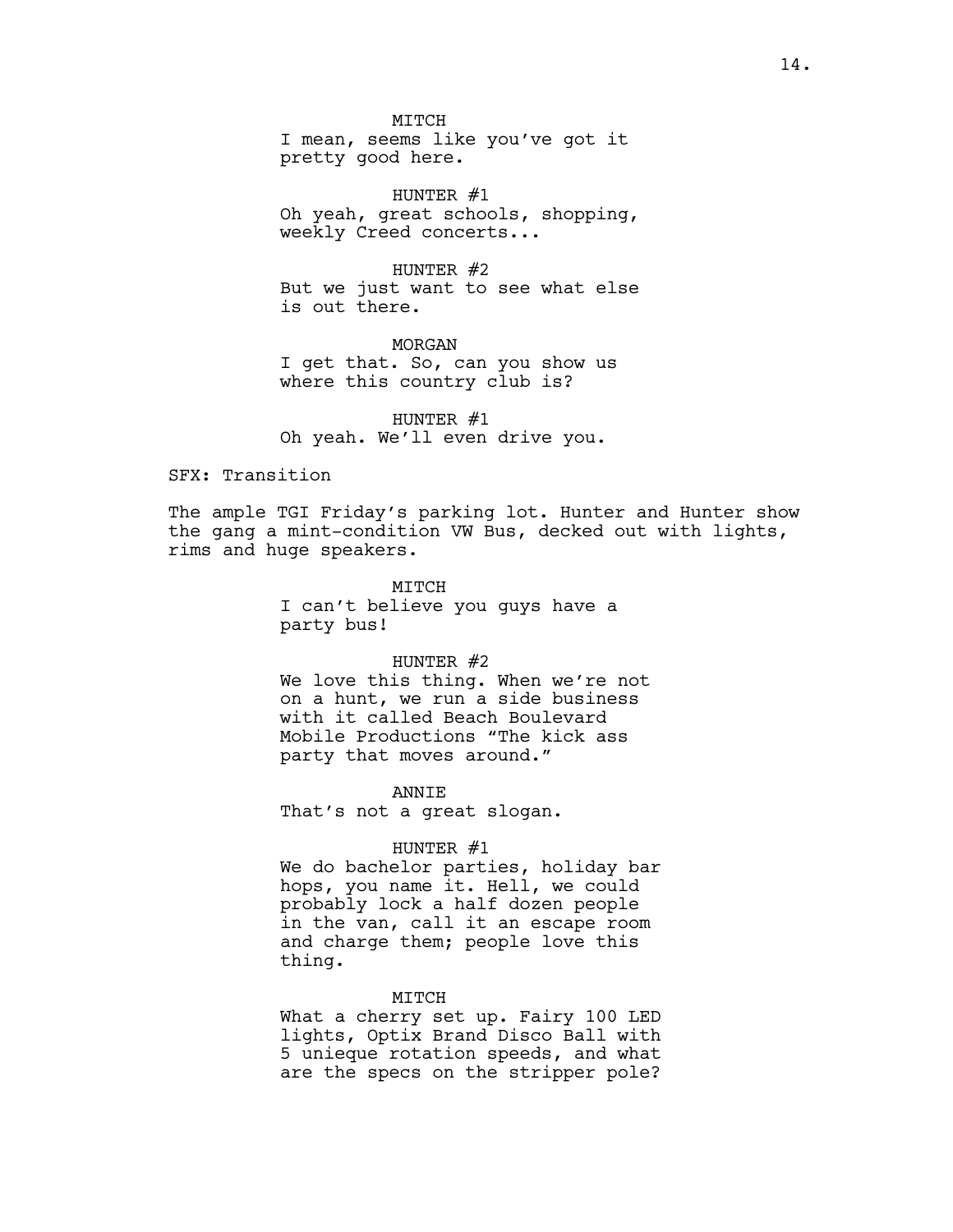**MTTCH** 

I mean, seems like you've got it pretty good here.

HUNTER #1 Oh yeah, great schools, shopping, weekly Creed concerts...

HUNTER #2 But we just want to see what else is out there.

MORGAN I get that. So, can you show us where this country club is?

HUNTER #1 Oh yeah. We'll even drive you.

SFX: Transition

The ample TGI Friday's parking lot. Hunter and Hunter show the gang a mint-condition VW Bus, decked out with lights, rims and huge speakers.

> MITCH I can't believe you guys have a party bus!

#### HUNTER  $#2$

We love this thing. When we're not on a hunt, we run a side business with it called Beach Boulevard Mobile Productions "The kick ass party that moves around."

ANNIE

That's not a great slogan.

### HUNTER #1

We do bachelor parties, holiday bar hops, you name it. Hell, we could probably lock a half dozen people in the van, call it an escape room and charge them; people love this thing.

#### MITCH

What a cherry set up. Fairy 100 LED lights, Optix Brand Disco Ball with 5 unieque rotation speeds, and what are the specs on the stripper pole?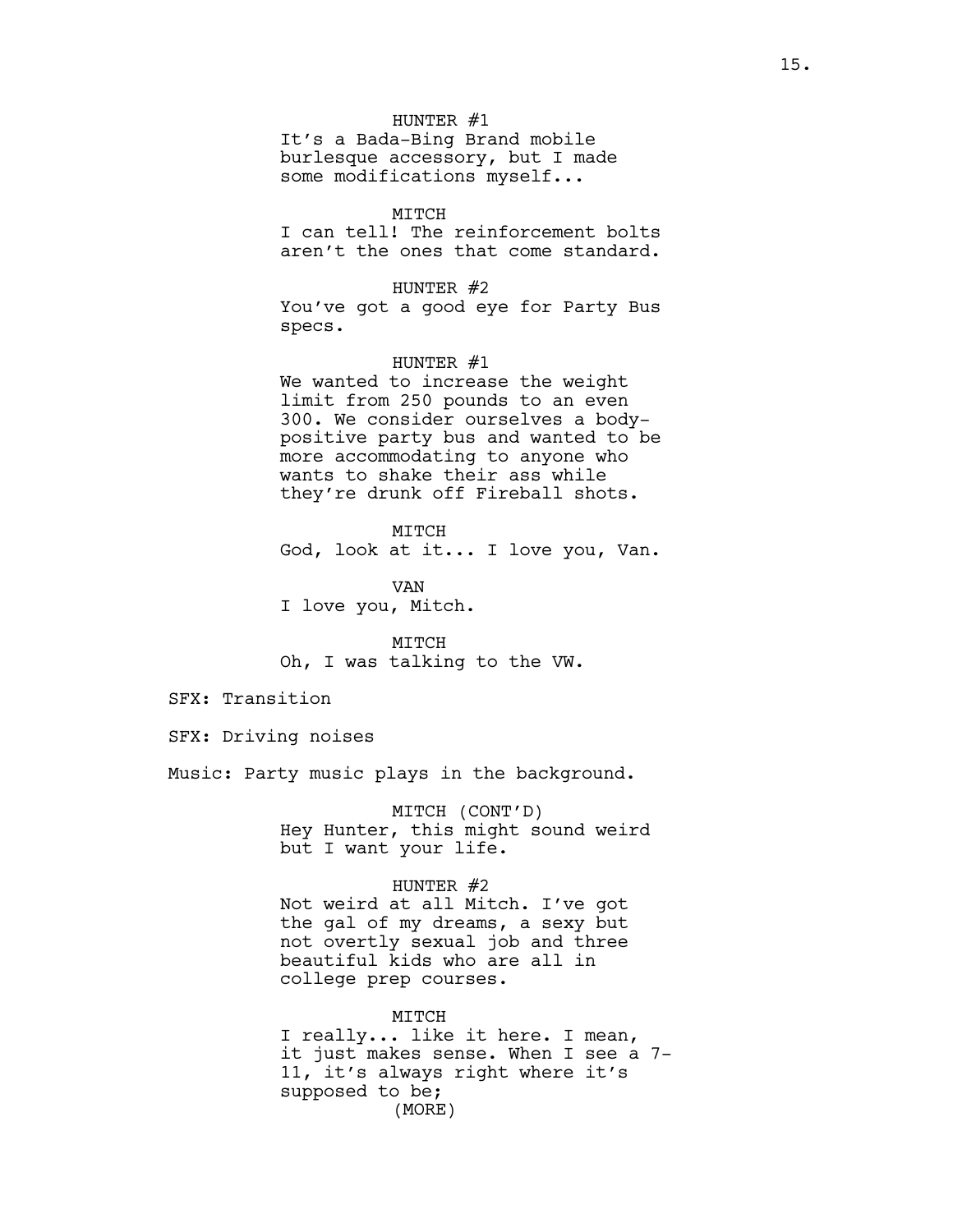### HUNTER #1

It's a Bada-Bing Brand mobile burlesque accessory, but I made some modifications myself...

### MITCH

I can tell! The reinforcement bolts aren't the ones that come standard.

### HUNTER #2

You've got a good eye for Party Bus specs.

### HUNTER #1

We wanted to increase the weight limit from 250 pounds to an even 300. We consider ourselves a bodypositive party bus and wanted to be more accommodating to anyone who wants to shake their ass while they're drunk off Fireball shots.

### MITCH

God, look at it... I love you, Van.

VAN I love you, Mitch.

MITCH Oh, I was talking to the VW.

SFX: Transition

SFX: Driving noises

Music: Party music plays in the background.

MITCH (CONT'D) Hey Hunter, this might sound weird but I want your life.

### HUNTER #2

Not weird at all Mitch. I've got the gal of my dreams, a sexy but not overtly sexual job and three beautiful kids who are all in college prep courses.

MITCH I really... like it here. I mean, it just makes sense. When I see a 7- 11, it's always right where it's supposed to be; (MORE)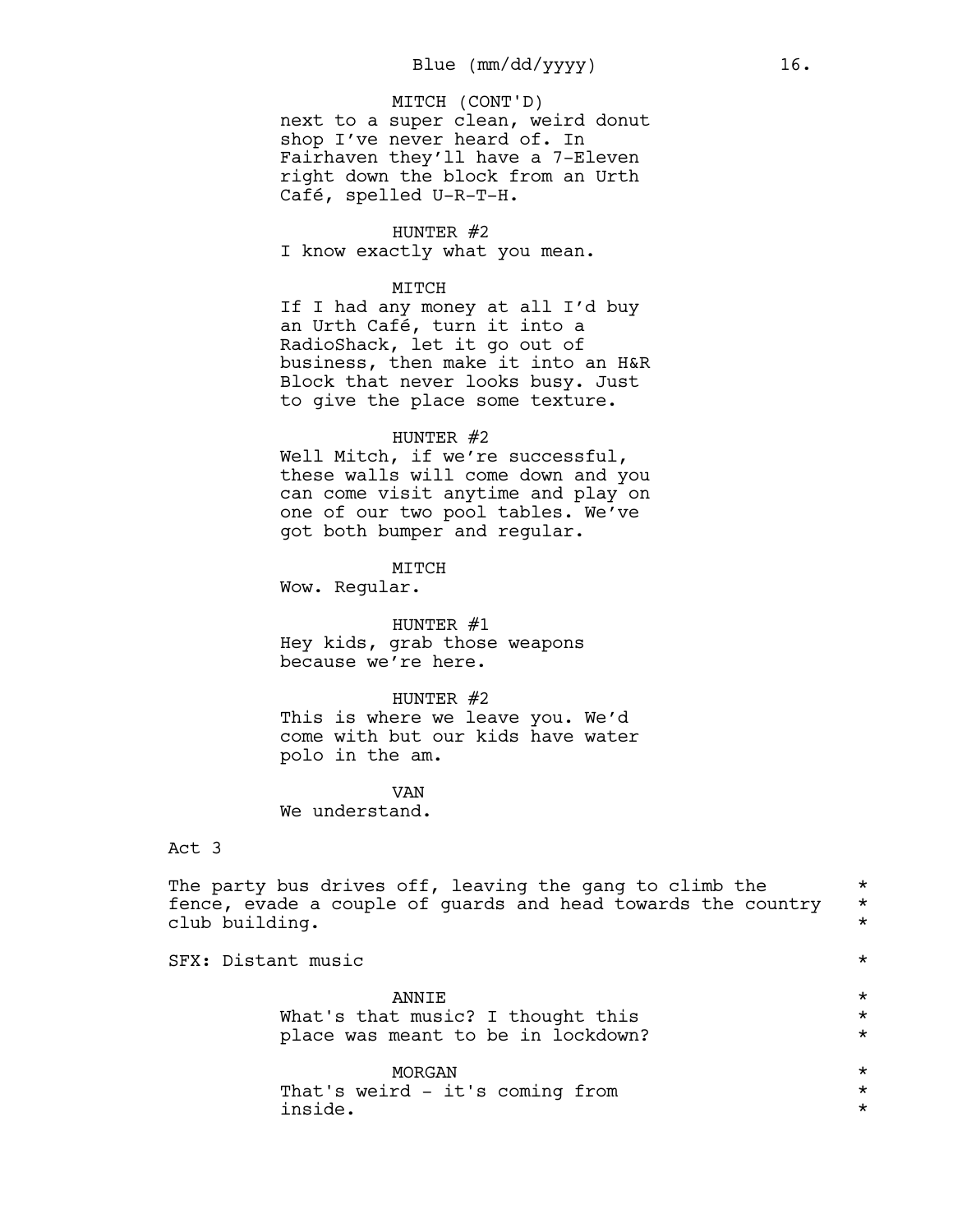next to a super clean, weird donut shop I've never heard of. In Fairhaven they'll have a 7-Eleven right down the block from an Urth Café, spelled U-R-T-H. MITCH (CONT'D)

#### HUNTER #2

I know exactly what you mean.

### MITCH

If I had any money at all I'd buy an Urth Café, turn it into a RadioShack, let it go out of business, then make it into an H&R Block that never looks busy. Just to give the place some texture.

### HUNTER #2

Well Mitch, if we're successful, these walls will come down and you can come visit anytime and play on one of our two pool tables. We've got both bumper and regular.

### MITCH

Wow. Regular.

#### HUNTER #1

Hey kids, grab those weapons because we're here.

#### HUNTER #2

This is where we leave you. We'd come with but our kids have water polo in the am.

VAN We understand.

# Act 3

The party bus drives off, leaving the gang to climb the  $*$ fence, evade a couple of guards and head towards the country \* club building. \*

SFX: Distant music  $\star$ 

 $\blacksquare$   $\blacksquare$ 

What's that music? I thought this  $*$ place was meant to be in lockdown? \* \*

MORGAN \*

That's weird - it's coming from  $*$ inside. \*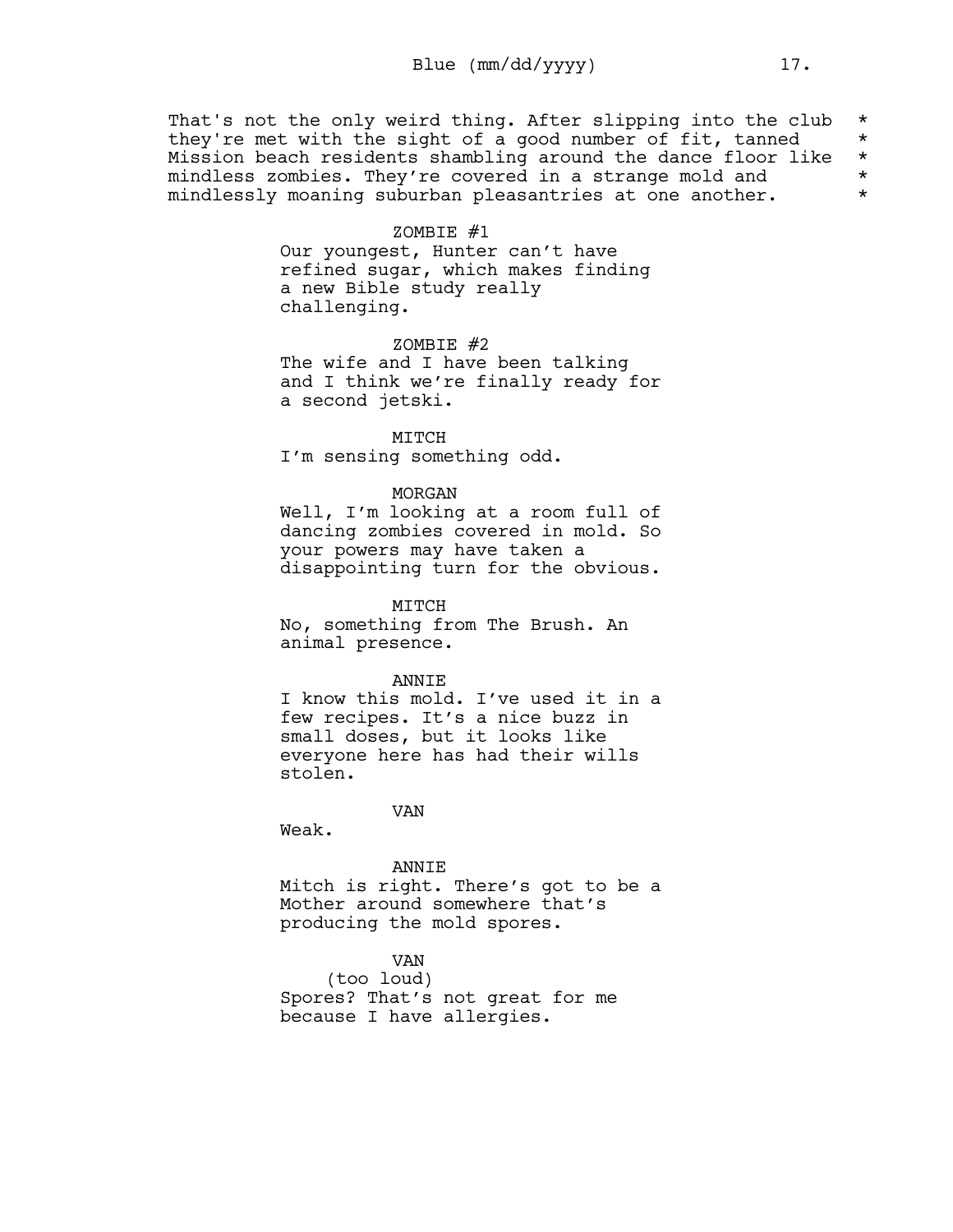That's not the only weird thing. After slipping into the club \* they're met with the sight of a good number of fit, tanned  $*$ Mission beach residents shambling around the dance floor like \* mindless zombies. They're covered in a strange mold and  $*$ mindlessly moaning suburban pleasantries at one another.  $*$ 

### ZOMBIE #1

Our youngest, Hunter can't have refined sugar, which makes finding a new Bible study really challenging.

ZOMBIE #2 The wife and I have been talking and I think we're finally ready for a second jetski.

### MITCH

I'm sensing something odd.

#### MORGAN

Well, I'm looking at a room full of dancing zombies covered in mold. So your powers may have taken a disappointing turn for the obvious.

MITCH

No, something from The Brush. An animal presence.

#### ANNIE

I know this mold. I've used it in a few recipes. It's a nice buzz in small doses, but it looks like everyone here has had their wills stolen.

VAN

Weak.

#### ANNIE

Mitch is right. There's got to be a Mother around somewhere that's producing the mold spores.

# VAN

(too loud) Spores? That's not great for me because I have allergies.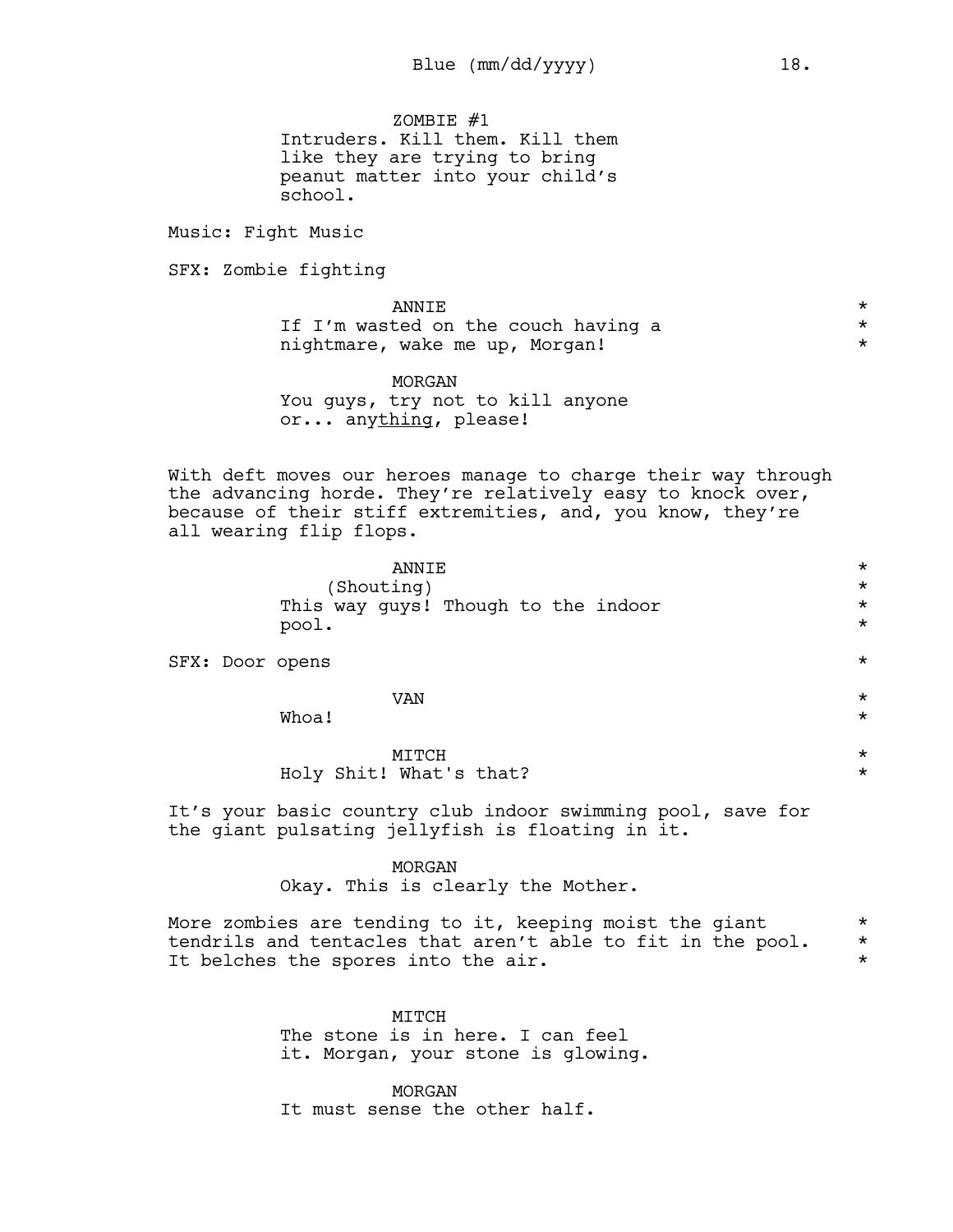ZOMBIE #1 Intruders. Kill them. Kill them like they are trying to bring peanut matter into your child's school.

Music: Fight Music

SFX: Zombie fighting

 $\blacksquare$   $\blacksquare$ If I'm wasted on the couch having a  $*$ nightmare, wake me up, Morgan! \*

MORGAN You guys, try not to kill anyone or... anything, please!

With deft moves our heroes manage to charge their way through the advancing horde. They're relatively easy to knock over, because of their stiff extremities, and, you know, they're all wearing flip flops.

|  | ANNIE                               | $\star$ |
|--|-------------------------------------|---------|
|  | (Shouting)                          | $\star$ |
|  | This way guys! Though to the indoor | $\star$ |
|  | pool.                               | $\star$ |
|  | SFX: Door opens                     | $\star$ |

|       | VAN<br><u> — — - </u> | $\ddot{\phantom{1}}$<br>́ |
|-------|-----------------------|---------------------------|
| Whoa! |                       | مله<br>◠                  |

# MITCH  $\star$ Holy Shit! What's that? \*

It's your basic country club indoor swimming pool, save for the giant pulsating jellyfish is floating in it.

### MORGAN

Okay. This is clearly the Mother.

More zombies are tending to it, keeping moist the giant  $*$ tendrils and tentacles that aren't able to fit in the pool. \* It belches the spores into the air.

> MTTCH The stone is in here. I can feel it. Morgan, your stone is glowing.

MORGAN It must sense the other half.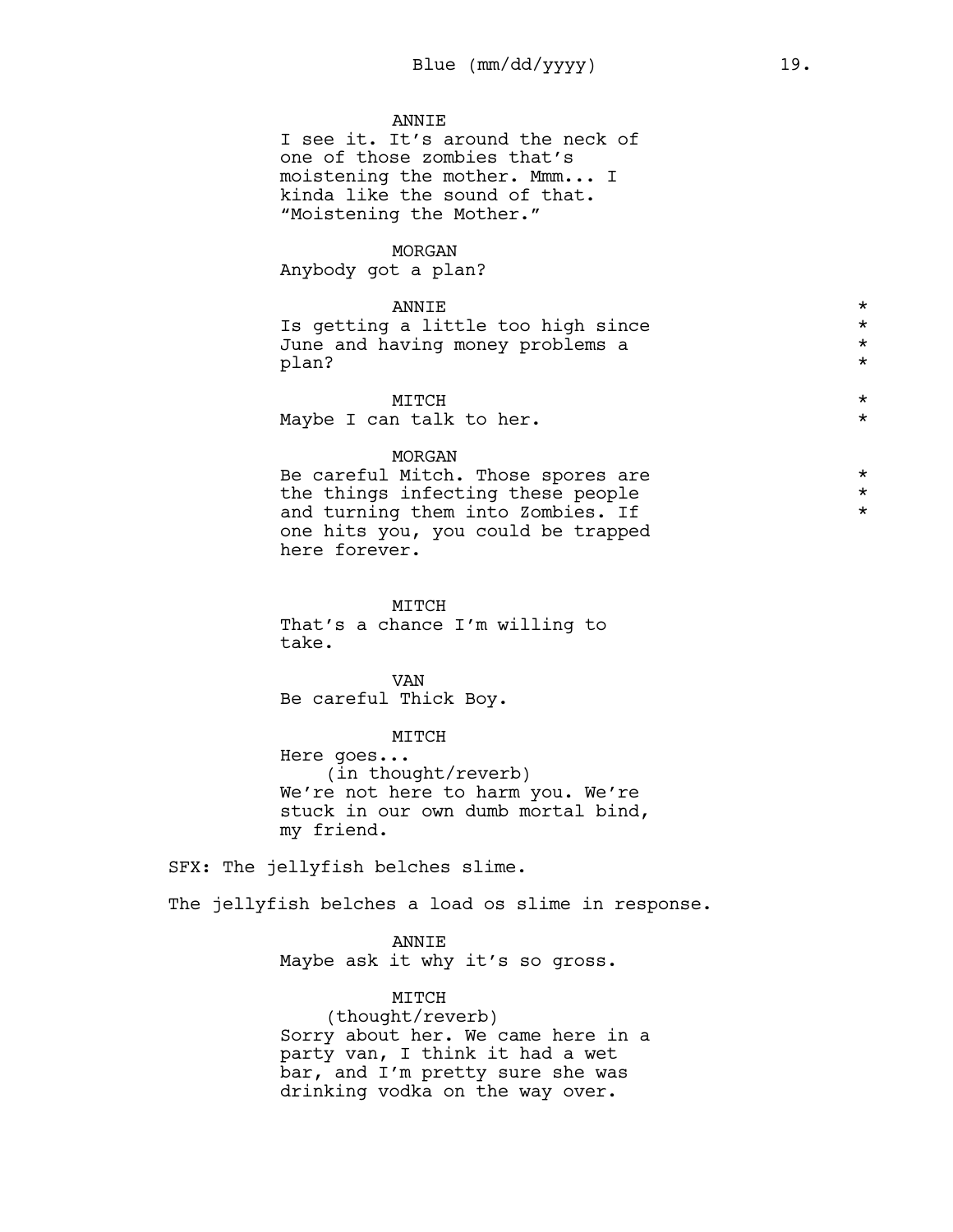### **ANNTE**

I see it. It's around the neck of one of those zombies that's moistening the mother. Mmm... I kinda like the sound of that. "Moistening the Mother."

### MORGAN

Anybody got a plan?

# $\blacksquare$   $\blacksquare$

Is getting a little too high since  $*$ June and having money problems a \* plan? \*

# MITCH  $\star$ Maybe I can talk to her.  $\star$

### MORGAN

Be careful Mitch. Those spores are  $*$ the things infecting these people  $*$ <br>and turning them into Zombies If and turning them into Zombies. If \* one hits you, you could be trapped here forever.

MITCH

That's a chance I'm willing to take.

VAN Be careful Thick Boy.

MITCH Here goes... (in thought/reverb) We're not here to harm you. We're stuck in our own dumb mortal bind, my friend.

SFX: The jellyfish belches slime.

The jellyfish belches a load os slime in response.

ANNIE Maybe ask it why it's so gross.

MITCH

(thought/reverb) Sorry about her. We came here in a party van, I think it had a wet bar, and I'm pretty sure she was drinking vodka on the way over.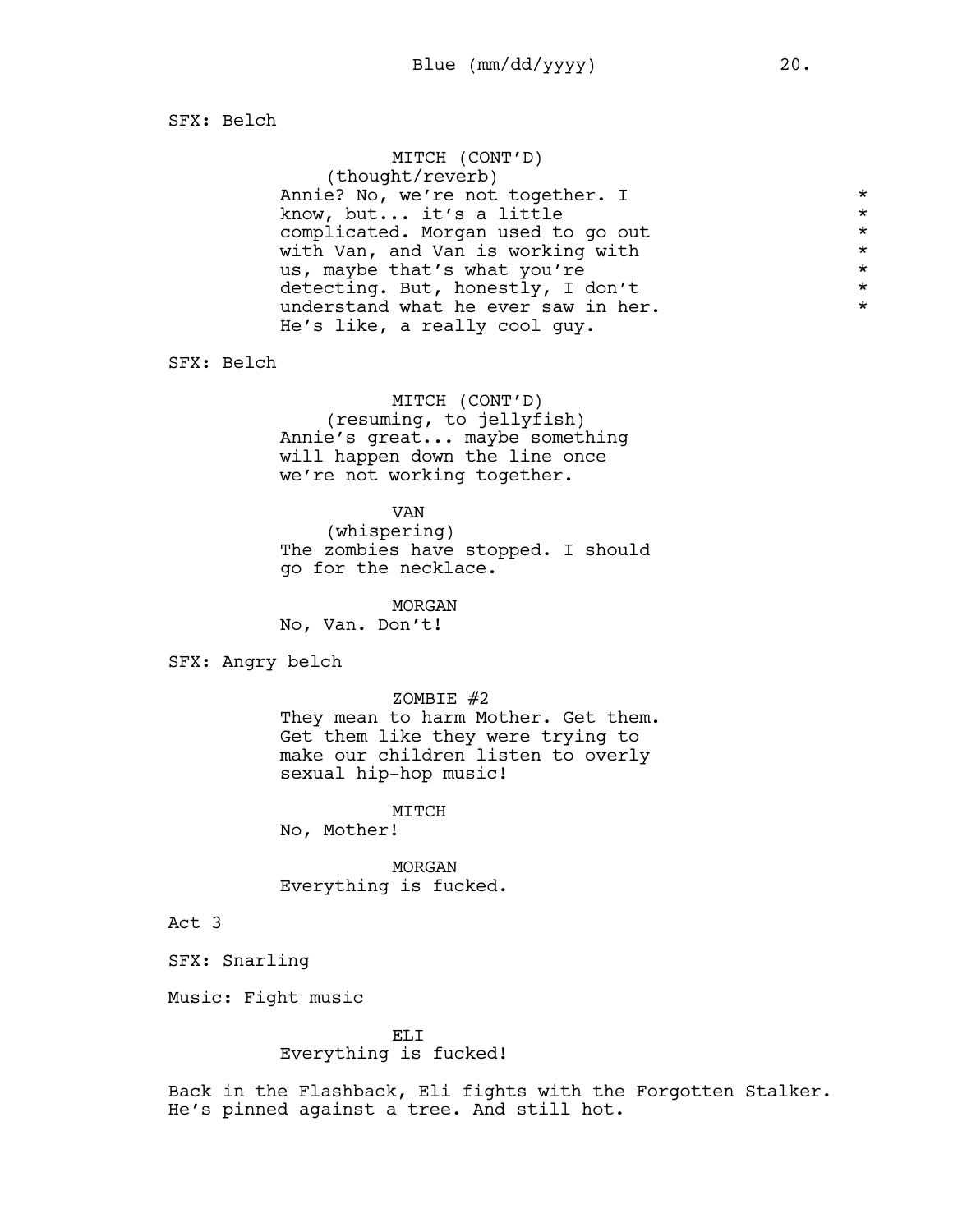SFX: Belch

| MITCH (CONT'D)                      |         |
|-------------------------------------|---------|
| (thought/reverb)                    |         |
| Annie? No, we're not together. I    | $\star$ |
| know, but it's a little             | $\star$ |
| complicated. Morgan used to go out  | $\star$ |
| with Van, and Van is working with   | $\star$ |
| us, maybe that's what you're        | $\star$ |
| detecting. But, honestly, I don't   | $\star$ |
| understand what he ever saw in her. | $\star$ |
| He's like, a really cool quy.       |         |

SFX: Belch

MITCH (CONT'D)

(resuming, to jellyfish) Annie's great... maybe something will happen down the line once we're not working together.

#### VAN

(whispering) The zombies have stopped. I should go for the necklace.

MORGAN

No, Van. Don't!

SFX: Angry belch

ZOMBIE #2

They mean to harm Mother. Get them. Get them like they were trying to make our children listen to overly sexual hip-hop music!

MITCH

No, Mother!

MORGAN Everything is fucked.

Act 3

SFX: Snarling

Music: Fight music

ELI

Everything is fucked!

Back in the Flashback, Eli fights with the Forgotten Stalker. He's pinned against a tree. And still hot.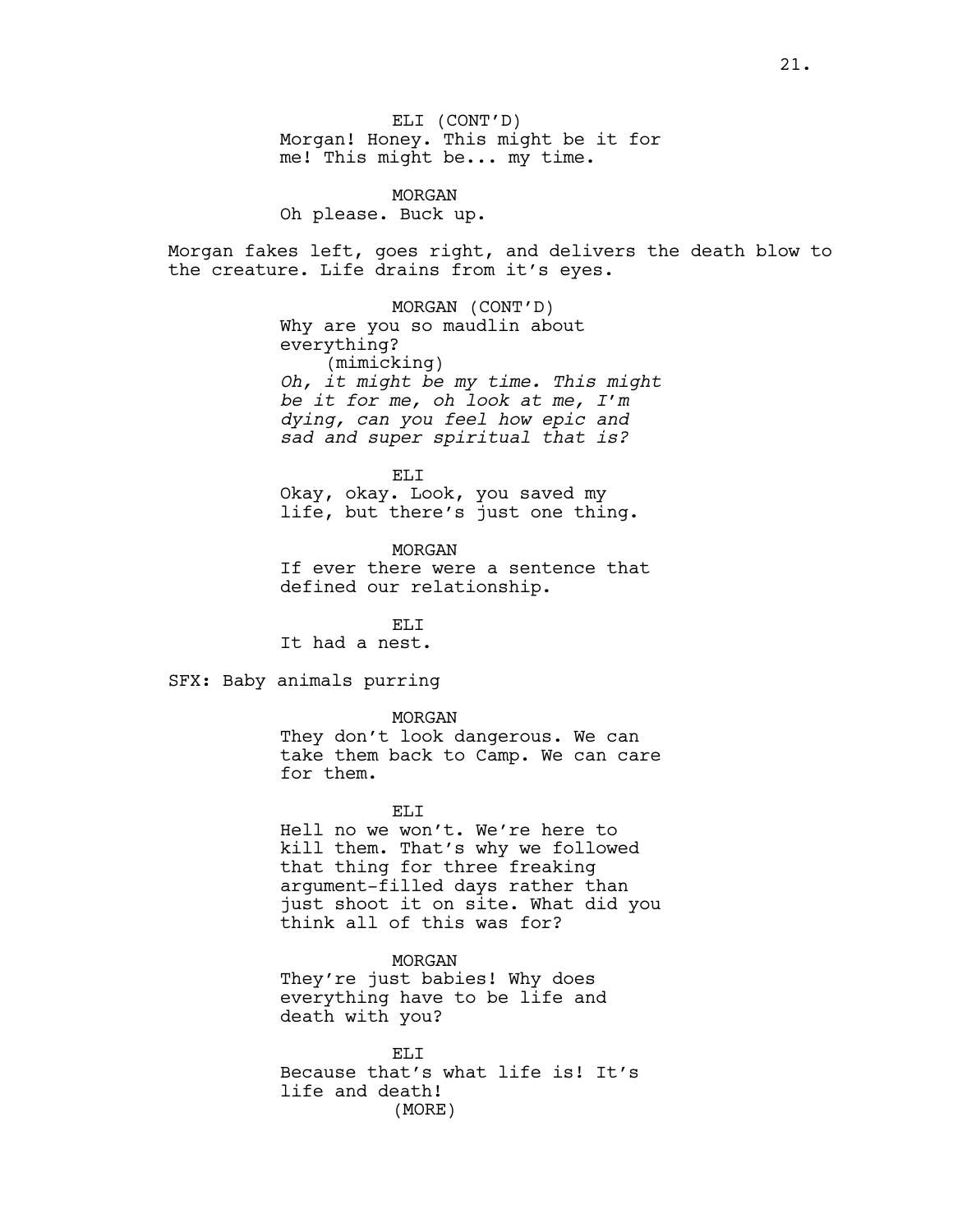ELI (CONT'D) Morgan! Honey. This might be it for me! This might be... my time.

MORGAN Oh please. Buck up.

Morgan fakes left, goes right, and delivers the death blow to the creature. Life drains from it's eyes.

> MORGAN (CONT'D) Why are you so maudlin about everything? (mimicking) *Oh, it might be my time. This might be it for me, oh look at me, I'm dying, can you feel how epic and sad and super spiritual that is?*

ELI Okay, okay. Look, you saved my life, but there's just one thing.

MORGAN If ever there were a sentence that defined our relationship.

ELI It had a nest.

SFX: Baby animals purring

MORGAN

They don't look dangerous. We can take them back to Camp. We can care for them.

EL<sub>I</sub>T

Hell no we won't. We're here to kill them. That's why we followed that thing for three freaking argument-filled days rather than just shoot it on site. What did you think all of this was for?

MORGAN They're just babies! Why does everything have to be life and death with you?

ELI Because that's what life is! It's life and death! (MORE)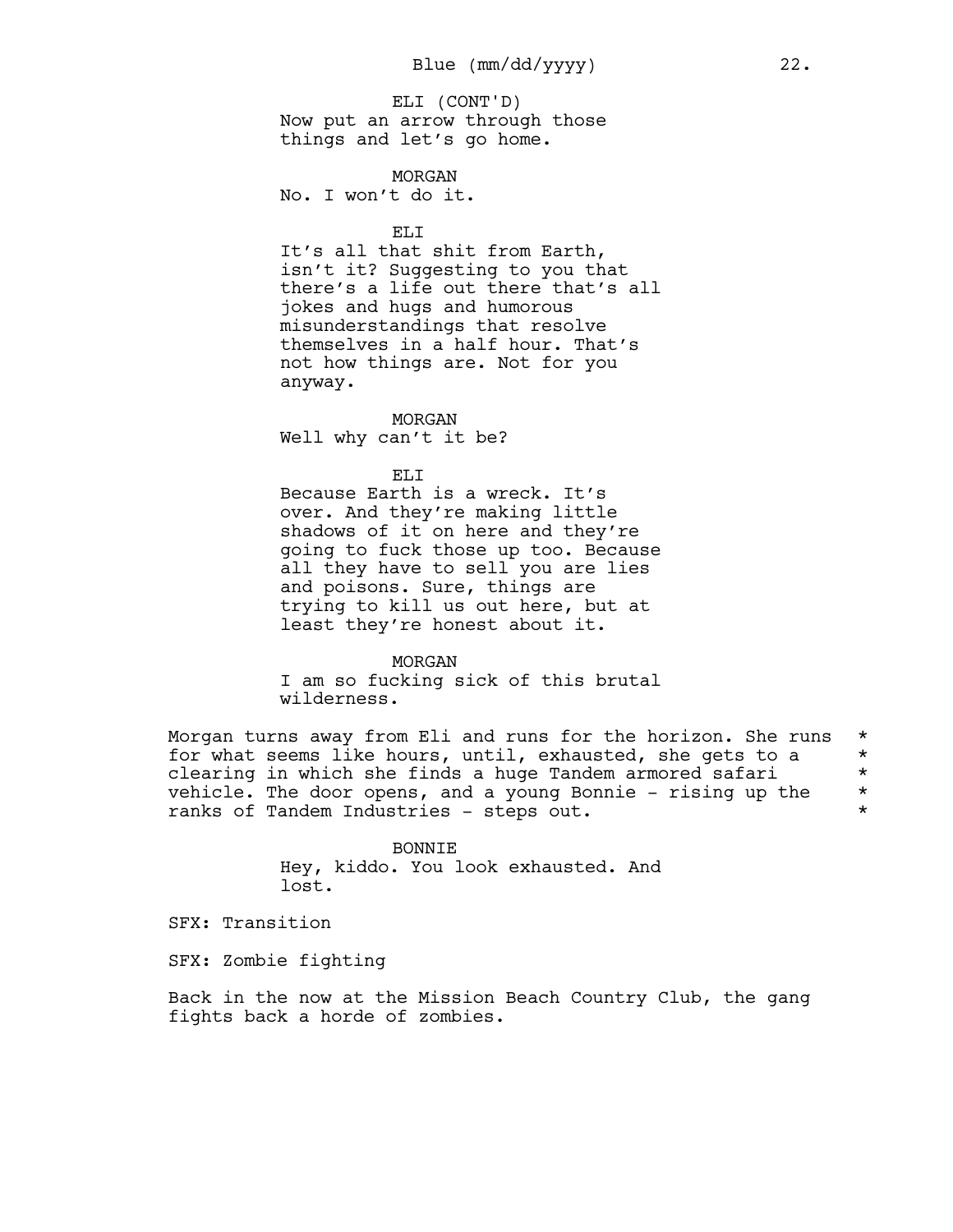Now put an arrow through those things and let's go home. ELI (CONT'D)

MORGAN

No. I won't do it.

ELI

It's all that shit from Earth, isn't it? Suggesting to you that there's a life out there that's all jokes and hugs and humorous misunderstandings that resolve themselves in a half hour. That's not how things are. Not for you anyway.

MORGAN Well why can't it be?

ELI

Because Earth is a wreck. It's over. And they're making little shadows of it on here and they're going to fuck those up too. Because all they have to sell you are lies and poisons. Sure, things are trying to kill us out here, but at least they're honest about it.

MORGAN I am so fucking sick of this brutal wilderness.

Morgan turns away from Eli and runs for the horizon. She runs \* for what seems like hours, until, exhausted, she gets to a \* clearing in which she finds a huge Tandem armored safari \* vehicle. The door opens, and a young Bonnie - rising up the  $*$ ranks of Tandem Industries - steps out. \*

> BONNIE Hey, kiddo. You look exhausted. And lost.

SFX: Transition

SFX: Zombie fighting

Back in the now at the Mission Beach Country Club, the gang fights back a horde of zombies.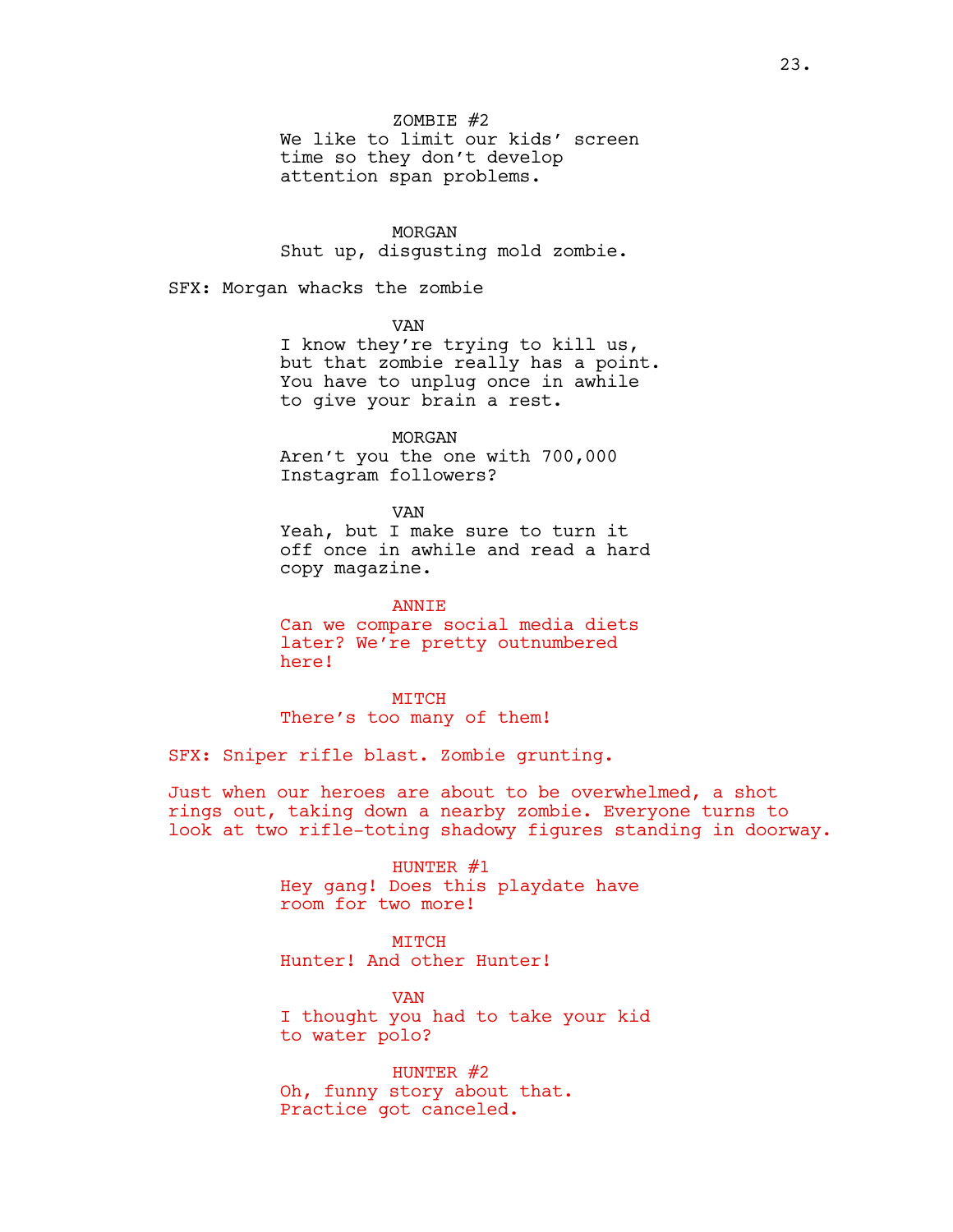$ZOMBTR #2$ 

We like to limit our kids' screen time so they don't develop attention span problems.

### MORGAN

Shut up, disgusting mold zombie.

SFX: Morgan whacks the zombie

VAN

I know they're trying to kill us, but that zombie really has a point. You have to unplug once in awhile to give your brain a rest.

MORGAN Aren't you the one with 700,000 Instagram followers?

VAN

Yeah, but I make sure to turn it off once in awhile and read a hard copy magazine.

ANNIE Can we compare social media diets later? We're pretty outnumbered here!

MITCH There's too many of them!

SFX: Sniper rifle blast. Zombie grunting.

Just when our heroes are about to be overwhelmed, a shot rings out, taking down a nearby zombie. Everyone turns to look at two rifle-toting shadowy figures standing in doorway.

> HUNTER  $#1$ Hey gang! Does this playdate have room for two more!

**MTTCH** Hunter! And other Hunter!

VAN I thought you had to take your kid to water polo?

HUNTER #2 Oh, funny story about that. Practice got canceled.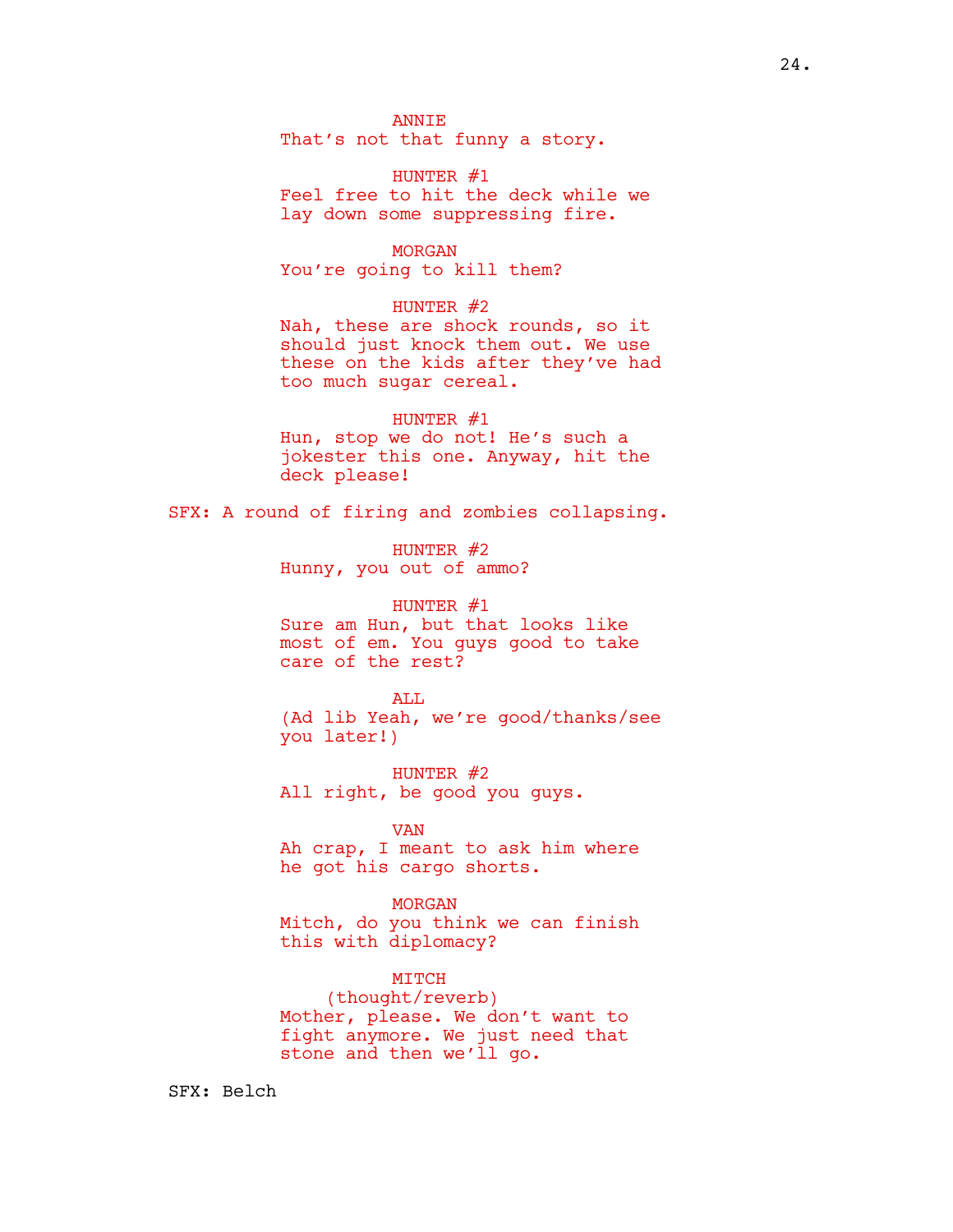**ANNTE** That's not that funny a story.

HUNTER  $#1$ Feel free to hit the deck while we lay down some suppressing fire.

MORGAN You're going to kill them?

# HUNTER #2

Nah, these are shock rounds, so it should just knock them out. We use these on the kids after they've had too much sugar cereal.

HUNTER #1 Hun, stop we do not! He's such a jokester this one. Anyway, hit the deck please!

SFX: A round of firing and zombies collapsing.

HUNTER #2 Hunny, you out of ammo?

HUNTER #1 Sure am Hun, but that looks like most of em. You guys good to take care of the rest?

ALL. (Ad lib Yeah, we're good/thanks/see you later!)

HUNTER #2 All right, be good you guys.

# VAN

Ah crap, I meant to ask him where he got his cargo shorts.

MORGAN Mitch, do you think we can finish this with diplomacy?

### MITCH

(thought/reverb) Mother, please. We don't want to fight anymore. We just need that stone and then we'll go.

SFX: Belch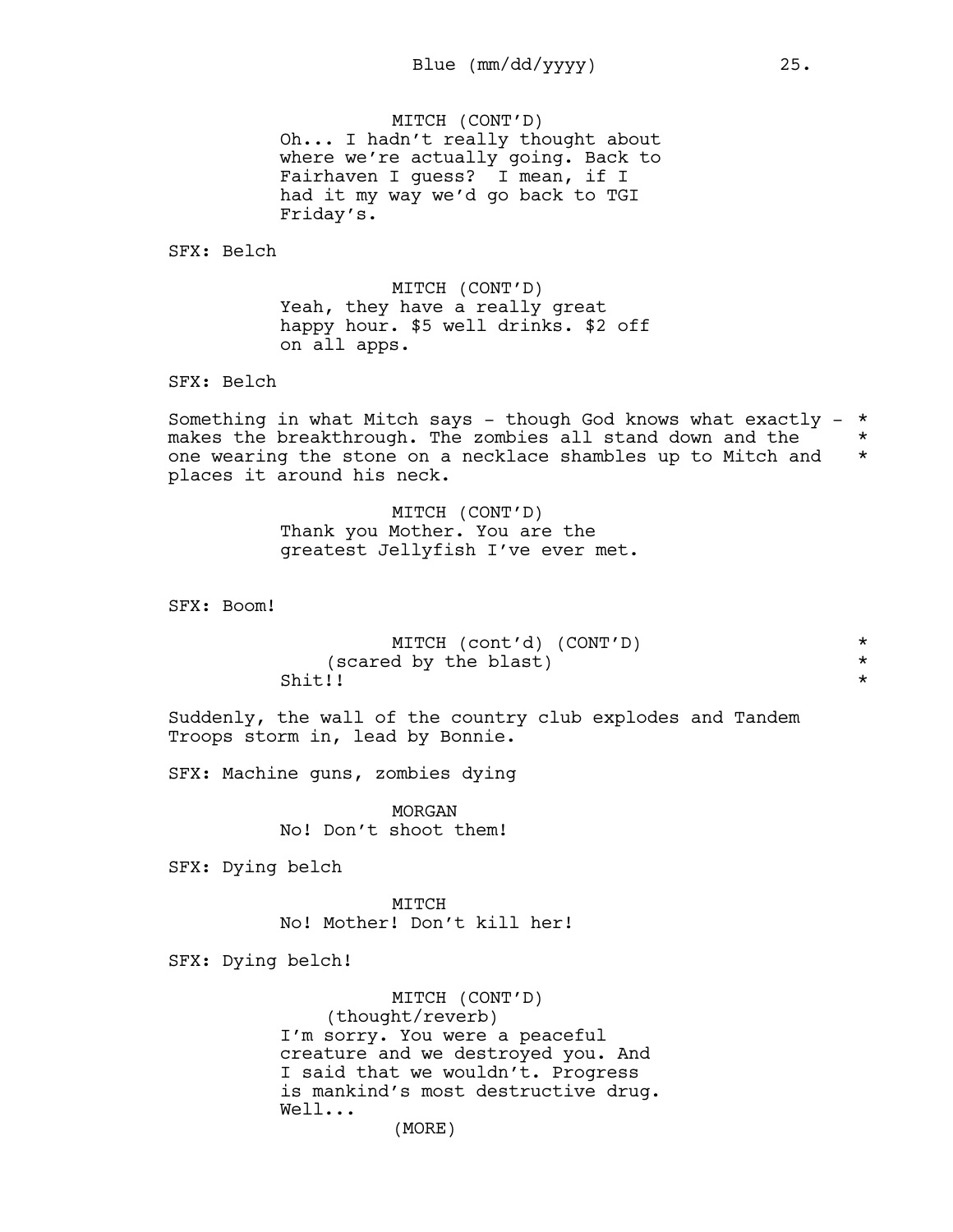MITCH (CONT'D) Oh... I hadn't really thought about where we're actually going. Back to Fairhaven I guess? I mean, if I had it my way we'd go back to TGI Friday's.

SFX: Belch

MITCH (CONT'D) Yeah, they have a really great happy hour. \$5 well drinks. \$2 off on all apps.

SFX: Belch

Something in what Mitch says - though God knows what exactly -  $*$ makes the breakthrough. The zombies all stand down and the  $*$ one wearing the stone on a necklace shambles up to Mitch and \* places it around his neck.

> MITCH (CONT'D) Thank you Mother. You are the greatest Jellyfish I've ever met.

SFX: Boom!

| MITCH (cont'd) (CONT'D) |  |
|-------------------------|--|
| (scared by the blast)   |  |
| Shit!!                  |  |

Suddenly, the wall of the country club explodes and Tandem Troops storm in, lead by Bonnie.

SFX: Machine guns, zombies dying

MORGAN No! Don't shoot them!

SFX: Dying belch

MTTCH No! Mother! Don't kill her!

SFX: Dying belch!

MITCH (CONT'D) (thought/reverb) I'm sorry. You were a peaceful creature and we destroyed you. And I said that we wouldn't. Progress is mankind's most destructive drug. Well...

(MORE)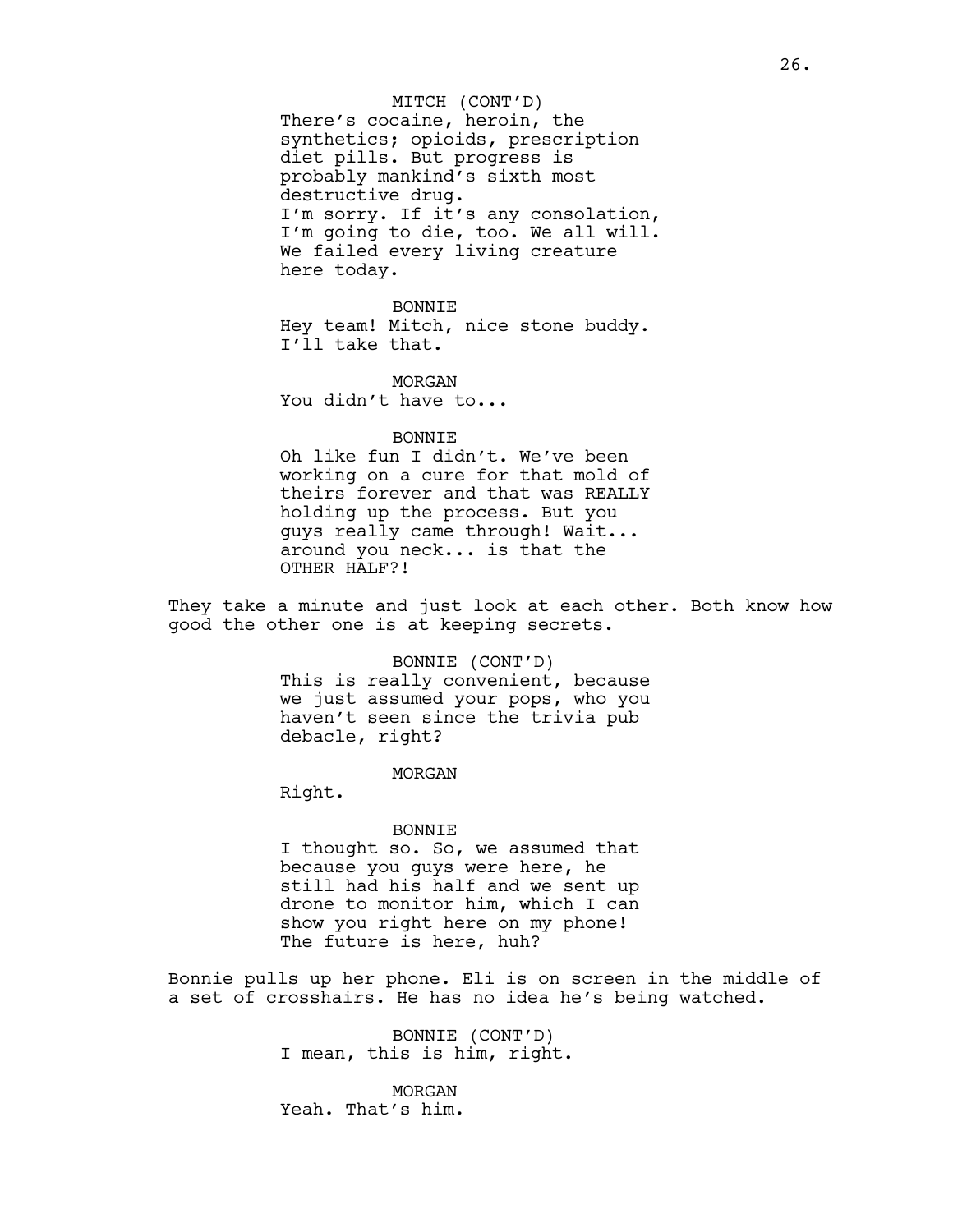There's cocaine, heroin, the synthetics; opioids, prescription diet pills. But progress is probably mankind's sixth most destructive drug. I'm sorry. If it's any consolation, I'm going to die, too. We all will. We failed every living creature here today. MITCH (CONT'D)

BONNIE Hey team! Mitch, nice stone buddy. I'll take that.

MORGAN You didn't have to...

BONNIE Oh like fun I didn't. We've been working on a cure for that mold of

theirs forever and that was REALLY holding up the process. But you guys really came through! Wait... around you neck... is that the OTHER HALF?!

They take a minute and just look at each other. Both know how good the other one is at keeping secrets.

> BONNIE (CONT'D) This is really convenient, because we just assumed your pops, who you haven't seen since the trivia pub debacle, right?

> > MORGAN

Right.

#### BONNIE

I thought so. So, we assumed that because you guys were here, he still had his half and we sent up drone to monitor him, which I can show you right here on my phone! The future is here, huh?

Bonnie pulls up her phone. Eli is on screen in the middle of a set of crosshairs. He has no idea he's being watched.

> BONNIE (CONT'D) I mean, this is him, right.

MORGAN Yeah. That's him.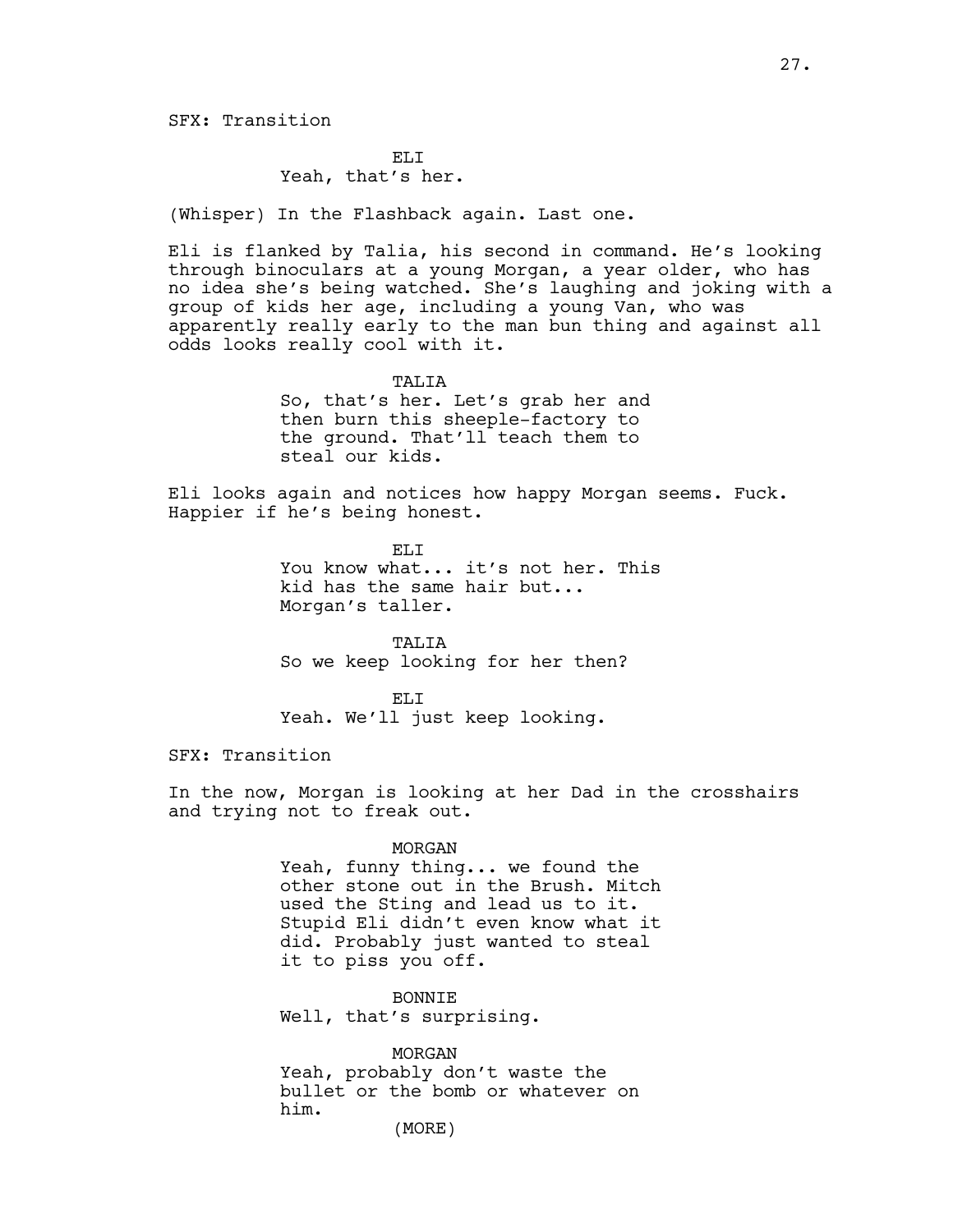EL<sub>I</sub>T Yeah, that's her.

(Whisper) In the Flashback again. Last one.

Eli is flanked by Talia, his second in command. He's looking through binoculars at a young Morgan, a year older, who has no idea she's being watched. She's laughing and joking with a group of kids her age, including a young Van, who was apparently really early to the man bun thing and against all odds looks really cool with it.

TALIA

So, that's her. Let's grab her and then burn this sheeple-factory to the ground. That'll teach them to steal our kids.

Eli looks again and notices how happy Morgan seems. Fuck. Happier if he's being honest.

> ELI You know what... it's not her. This kid has the same hair but... Morgan's taller.

TALIA So we keep looking for her then?

EL<sub>I</sub>T Yeah. We'll just keep looking.

SFX: Transition

In the now, Morgan is looking at her Dad in the crosshairs and trying not to freak out.

#### MORGAN

Yeah, funny thing... we found the other stone out in the Brush. Mitch used the Sting and lead us to it. Stupid Eli didn't even know what it did. Probably just wanted to steal it to piss you off.

BONNIE Well, that's surprising.

MORGAN Yeah, probably don't waste the bullet or the bomb or whatever on him.

(MORE)